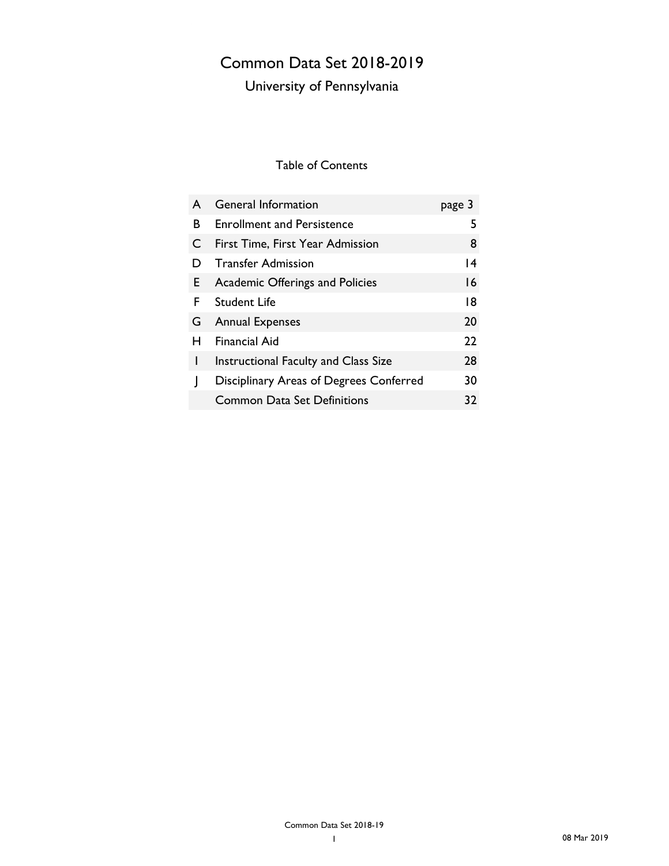## Common Data Set 2018-2019

## University of Pennsylvania

### Table of Contents

| A  | <b>General Information</b>              | page 3 |
|----|-----------------------------------------|--------|
| B  | <b>Enrollment and Persistence</b>       | 5      |
| C  | First Time, First Year Admission        | 8      |
| Ð  | <b>Transfer Admission</b>               | 4      |
| E. | <b>Academic Offerings and Policies</b>  | 16     |
| F. | Student Life                            | 18     |
| G. | <b>Annual Expenses</b>                  | 20     |
| н  | <b>Financial Aid</b>                    | 22     |
| I  | Instructional Faculty and Class Size    | 28     |
|    | Disciplinary Areas of Degrees Conferred | 30     |
|    | <b>Common Data Set Definitions</b>      | 32     |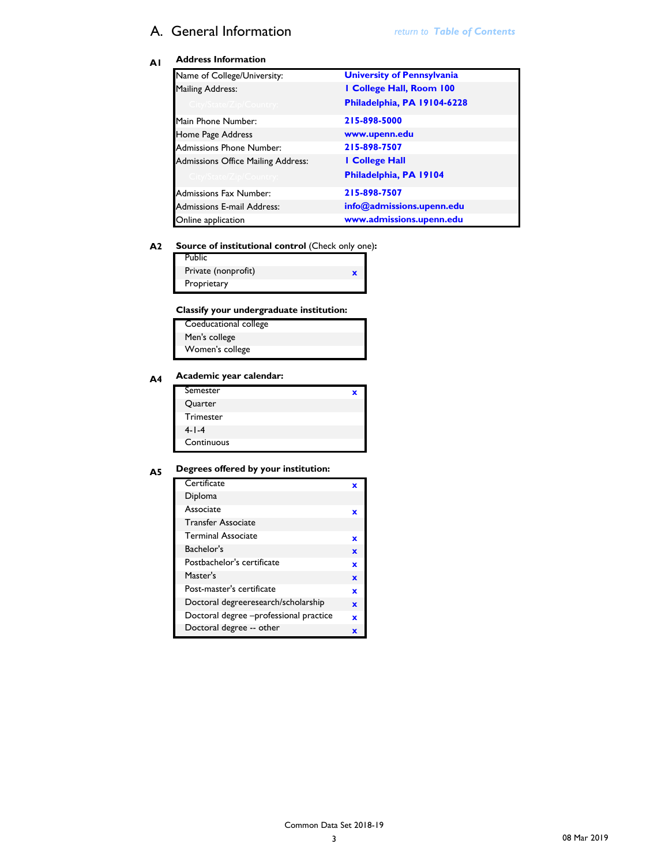### A. General Information *return to Table of Contents*

### **A1 Address Information**

| Name of College/University:        | <b>University of Pennsylvania</b> |
|------------------------------------|-----------------------------------|
| <b>Mailing Address:</b>            | I College Hall, Room 100          |
| City/State/Zip/Country:            | Philadelphia, PA 19104-6228       |
| Main Phone Number:                 | 215-898-5000                      |
| Home Page Address                  | www.upenn.edu                     |
| <b>Admissions Phone Number:</b>    | 215-898-7507                      |
| Admissions Office Mailing Address: | I College Hall                    |
| City/State/Zip/Country:            | Philadelphia, PA 19104            |
| <b>Admissions Fax Number:</b>      | 215-898-7507                      |
| <b>Admissions E-mail Address:</b>  | info@admissions.upenn.edu         |
| Online application                 | www.admissions.upenn.edu          |

#### **A2 Source of institutional control** (Check only one)**:**

| <b>Public</b>       |  |
|---------------------|--|
| Private (nonprofit) |  |
| Proprietary         |  |

### **A3 Classify your undergraduate institution:**

| Coeducational college |
|-----------------------|
| Men's college         |
| Women's college       |

### **A4 Academic year calendar:**

| Semester         | x |
|------------------|---|
| Quarter          |   |
| <b>Trimester</b> |   |
| $4 - 1 - 4$      |   |
| Continuous       |   |

### **A5 Degrees offered by your institution:**

| Certificate                            |   |
|----------------------------------------|---|
| Diploma                                |   |
| Associate                              | x |
| <b>Transfer Associate</b>              |   |
| <b>Terminal Associate</b>              | x |
| Bachelor's                             | x |
| Postbachelor's certificate             | x |
| Master's                               | × |
| Post-master's certificate              | x |
| Doctoral degreeresearch/scholarship    | × |
| Doctoral degree -professional practice | × |
| Doctoral degree -- other               |   |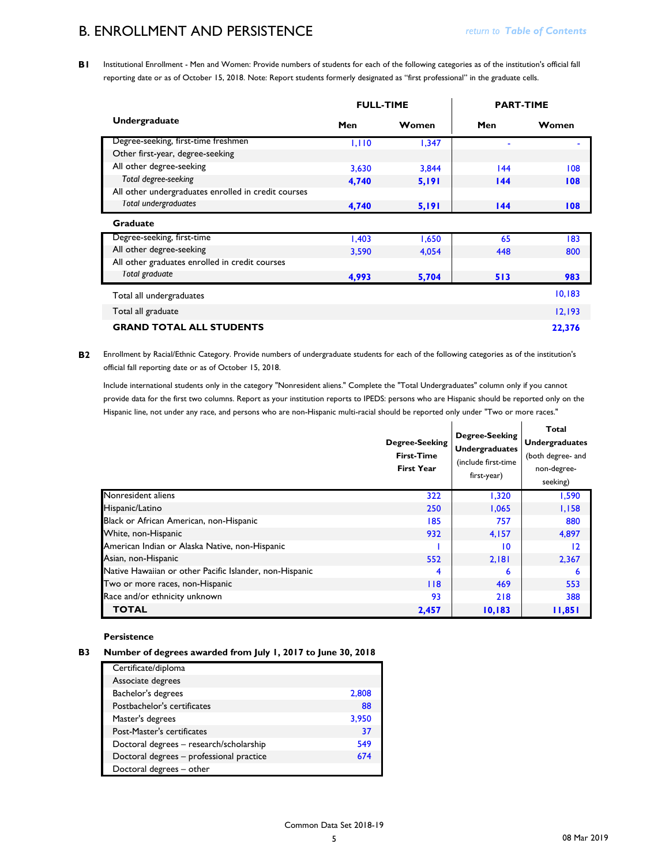### B. ENROLLMENT AND PERSISTENCE

 $\blacksquare$ 

**B1** Institutional Enrollment - Men and Women: Provide numbers of students for each of the following categories as of the institution's official fall reporting date or as of October 15, 2018. Note: Report students formerly designated as "first professional" in the graduate cells.

|                                                     | <b>FULL-TIME</b> |       | <b>PART-TIME</b> |                          |
|-----------------------------------------------------|------------------|-------|------------------|--------------------------|
| <b>Undergraduate</b>                                | Men              | Women | Men              | Women                    |
| Degree-seeking, first-time freshmen                 | 1,110            | 1,347 |                  | $\overline{\phantom{0}}$ |
| Other first-year, degree-seeking                    |                  |       |                  |                          |
| All other degree-seeking                            | 3,630            | 3,844 | 144              | 108                      |
| Total degree-seeking                                | 4,740            | 5,191 | 144              | 108                      |
| All other undergraduates enrolled in credit courses |                  |       |                  |                          |
| Total undergraduates                                | 4,740            | 5,191 | 144              | 108                      |
| <b>Graduate</b>                                     |                  |       |                  |                          |
| Degree-seeking, first-time                          | 1,403            | 1,650 | 65               | 183                      |
| All other degree-seeking                            | 3,590            | 4,054 | 448              | 800                      |
| All other graduates enrolled in credit courses      |                  |       |                  |                          |
| Total graduate                                      | 4,993            | 5,704 | 513              | 983                      |
| Total all undergraduates                            |                  |       |                  | 10,183                   |
| Total all graduate                                  |                  |       |                  | 12,193                   |
| <b>GRAND TOTAL ALL STUDENTS</b>                     |                  |       |                  | 22,376                   |

**B2** Enrollment by Racial/Ethnic Category. Provide numbers of undergraduate students for each of the following categories as of the institution's official fall reporting date or as of October 15, 2018.

Include international students only in the category "Nonresident aliens." Complete the "Total Undergraduates" column only if you cannot provide data for the first two columns. Report as your institution reports to IPEDS: persons who are Hispanic should be reported only on the Hispanic line, not under any race, and persons who are non-Hispanic multi-racial should be reported only under "Two or more races."

|                                                         | <b>Degree-Seeking</b><br><b>First-Time</b><br><b>First Year</b> | <b>Degree-Seeking</b><br><b>Undergraduates</b><br>(include first-time<br>first-year) | Total<br><b>Undergraduates</b><br>(both degree- and<br>non-degree-<br>seeking) |
|---------------------------------------------------------|-----------------------------------------------------------------|--------------------------------------------------------------------------------------|--------------------------------------------------------------------------------|
| Nonresident aliens                                      | 322                                                             | 1,320                                                                                | 1,590                                                                          |
| Hispanic/Latino                                         | 250                                                             | 1,065                                                                                | 1,158                                                                          |
| Black or African American, non-Hispanic                 | 185                                                             | 757                                                                                  | 880                                                                            |
| White, non-Hispanic                                     | 932                                                             | 4,157                                                                                | 4,897                                                                          |
| American Indian or Alaska Native, non-Hispanic          |                                                                 | 10                                                                                   | 12                                                                             |
| Asian, non-Hispanic                                     | 552                                                             | 2,181                                                                                | 2,367                                                                          |
| Native Hawaiian or other Pacific Islander, non-Hispanic | $\overline{4}$                                                  | 6                                                                                    | 6                                                                              |
| Two or more races, non-Hispanic                         | 118                                                             | 469                                                                                  | 553                                                                            |
| Race and/or ethnicity unknown                           | 93                                                              | 218                                                                                  | 388                                                                            |
| <b>TOTAL</b>                                            | 2,457                                                           | 10,183                                                                               | 11,851                                                                         |

#### **Persistence**

### **B3 Number of degrees awarded from July 1, 2017 to June 30, 2018**

| Certificate/diploma                      |       |
|------------------------------------------|-------|
| Associate degrees                        |       |
| Bachelor's degrees                       | 2,808 |
| Postbachelor's certificates              | 88    |
| Master's degrees                         | 3,950 |
| Post-Master's certificates               | 37    |
| Doctoral degrees - research/scholarship  | 549   |
| Doctoral degrees - professional practice | 674   |
| Doctoral degrees - other                 |       |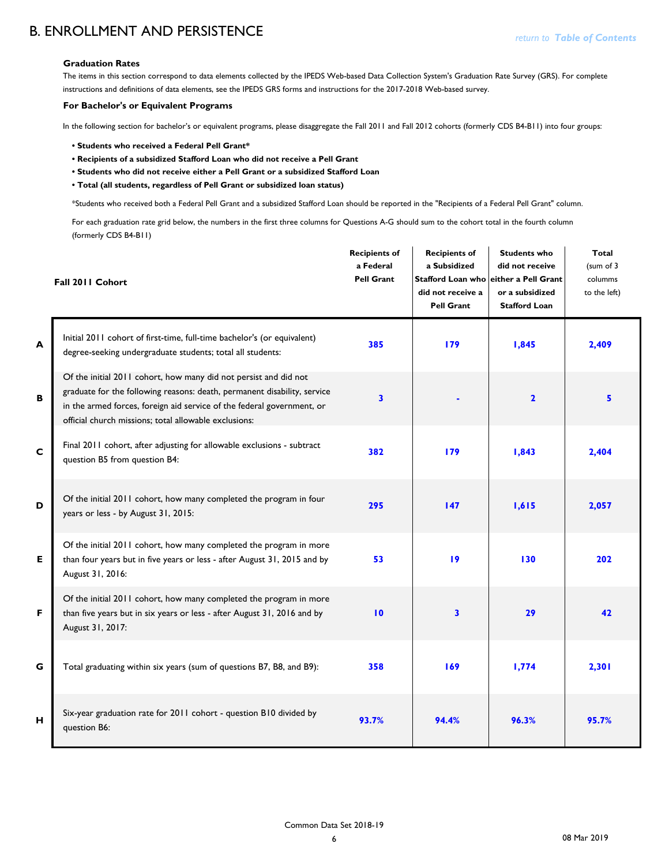### B. ENROLLMENT AND PERSISTENCE

### **Graduation Rates**

The items in this section correspond to data elements collected by the IPEDS Web-based Data Collection System's Graduation Rate Survey (GRS). For complete instructions and definitions of data elements, see the IPEDS GRS forms and instructions for the 2017-2018 Web-based survey.

#### **For Bachelor's or Equivalent Programs**

In the following section for bachelor's or equivalent programs, please disaggregate the Fall 2011 and Fall 2012 cohorts (formerly CDS B4-B11) into four groups:

- **Students who received a Federal Pell Grant\***
- **Recipients of a subsidized Stafford Loan who did not receive a Pell Grant**
- **Students who did not receive either a Pell Grant or a subsidized Stafford Loan**
- **Total (all students, regardless of Pell Grant or subsidized loan status)**

\*Students who received both a Federal Pell Grant and a subsidized Stafford Loan should be reported in the "Recipients of a Federal Pell Grant" column.

For each graduation rate grid below, the numbers in the first three columns for Questions A-G should sum to the cohort total in the fourth column (formerly CDS B4-B11)

|   | Fall 2011 Cohort                                                                                                                                                                                                                                                                | <b>Recipients of</b><br>a Federal<br><b>Pell Grant</b> | <b>Recipients of</b><br>a Subsidized<br>did not receive a<br><b>Pell Grant</b> | <b>Students who</b><br>did not receive<br>Stafford Loan who either a Pell Grant<br>or a subsidized<br><b>Stafford Loan</b> | <b>Total</b><br>(sum of 3<br>columms<br>to the left) |
|---|---------------------------------------------------------------------------------------------------------------------------------------------------------------------------------------------------------------------------------------------------------------------------------|--------------------------------------------------------|--------------------------------------------------------------------------------|----------------------------------------------------------------------------------------------------------------------------|------------------------------------------------------|
| A | Initial 2011 cohort of first-time, full-time bachelor's (or equivalent)<br>degree-seeking undergraduate students; total all students:                                                                                                                                           | 385                                                    | 179                                                                            | 1,845                                                                                                                      | 2,409                                                |
| B | Of the initial 2011 cohort, how many did not persist and did not<br>graduate for the following reasons: death, permanent disability, service<br>in the armed forces, foreign aid service of the federal government, or<br>official church missions; total allowable exclusions: | $\overline{\mathbf{3}}$                                |                                                                                | $\overline{\mathbf{2}}$                                                                                                    | 5                                                    |
| C | Final 2011 cohort, after adjusting for allowable exclusions - subtract<br>question B5 from question B4:                                                                                                                                                                         | 382                                                    | 179                                                                            | 1,843                                                                                                                      | 2,404                                                |
| D | Of the initial 2011 cohort, how many completed the program in four<br>years or less - by August 31, 2015:                                                                                                                                                                       | 295                                                    | 147                                                                            | 1,615                                                                                                                      | 2,057                                                |
| E | Of the initial 2011 cohort, how many completed the program in more<br>than four years but in five years or less - after August 31, 2015 and by<br>August 31, 2016:                                                                                                              | 53                                                     | 19                                                                             | 130                                                                                                                        | 202                                                  |
| F | Of the initial 2011 cohort, how many completed the program in more<br>than five years but in six years or less - after August 31, 2016 and by<br>August 31, 2017:                                                                                                               | 10                                                     | $\overline{\mathbf{3}}$                                                        | 29                                                                                                                         | 42                                                   |
| G | Total graduating within six years (sum of questions B7, B8, and B9):                                                                                                                                                                                                            | 358                                                    | 169                                                                            | 1,774                                                                                                                      | 2,301                                                |
| H | Six-year graduation rate for 2011 cohort - question B10 divided by<br>question B6:                                                                                                                                                                                              | 93.7%                                                  | 94.4%                                                                          | 96.3%                                                                                                                      | 95.7%                                                |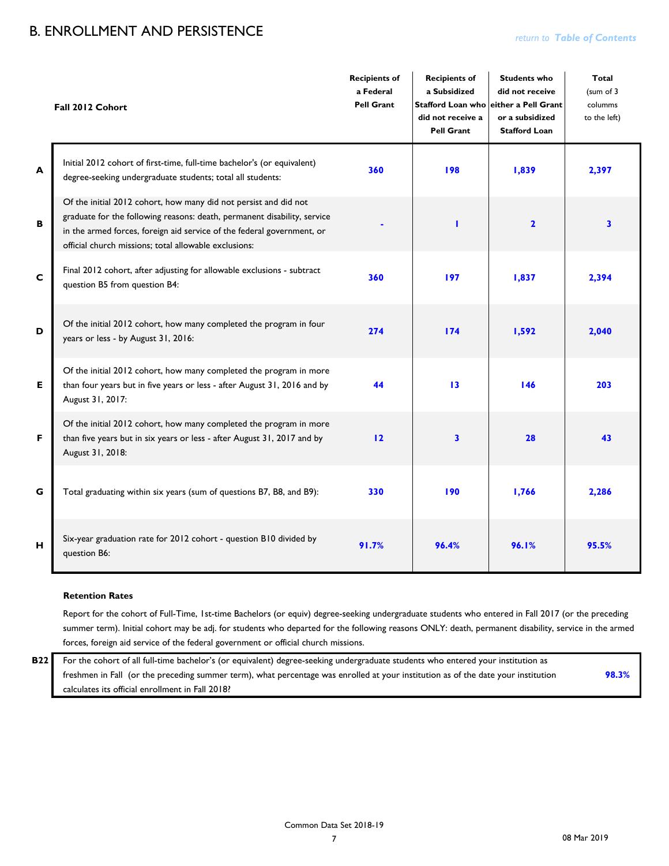## B. ENROLLMENT AND PERSISTENCE *return to Table of Contents*

|   | Fall 2012 Cohort                                                                                                                                                                                                                                                                | <b>Recipients of</b><br>a Federal<br><b>Pell Grant</b> | <b>Recipients of</b><br>a Subsidized<br><b>Stafford Loan who</b><br>did not receive a<br><b>Pell Grant</b> | <b>Students who</b><br>did not receive<br>either a Pell Grant<br>or a subsidized<br><b>Stafford Loan</b> | <b>Total</b><br>(sum of 3<br>columms<br>to the left) |
|---|---------------------------------------------------------------------------------------------------------------------------------------------------------------------------------------------------------------------------------------------------------------------------------|--------------------------------------------------------|------------------------------------------------------------------------------------------------------------|----------------------------------------------------------------------------------------------------------|------------------------------------------------------|
| A | Initial 2012 cohort of first-time, full-time bachelor's (or equivalent)<br>degree-seeking undergraduate students; total all students:                                                                                                                                           | 360                                                    | 198                                                                                                        | 1,839                                                                                                    | 2,397                                                |
| B | Of the initial 2012 cohort, how many did not persist and did not<br>graduate for the following reasons: death, permanent disability, service<br>in the armed forces, foreign aid service of the federal government, or<br>official church missions; total allowable exclusions: |                                                        | п                                                                                                          | $\overline{2}$                                                                                           | $\overline{\mathbf{3}}$                              |
| C | Final 2012 cohort, after adjusting for allowable exclusions - subtract<br>question B5 from question B4:                                                                                                                                                                         | 360                                                    | 197                                                                                                        | 1,837                                                                                                    | 2,394                                                |
| D | Of the initial 2012 cohort, how many completed the program in four<br>years or less - by August 31, 2016:                                                                                                                                                                       | 274                                                    | 174                                                                                                        | 1,592                                                                                                    | 2,040                                                |
| E | Of the initial 2012 cohort, how many completed the program in more<br>than four years but in five years or less - after August 31, 2016 and by<br>August 31, 2017:                                                                                                              | 44                                                     | 13                                                                                                         | 146                                                                                                      | 203                                                  |
| F | Of the initial 2012 cohort, how many completed the program in more<br>than five years but in six years or less - after August 31, 2017 and by<br>August 31, 2018:                                                                                                               | 12                                                     | $\overline{\mathbf{3}}$                                                                                    | 28                                                                                                       | 43                                                   |
| G | Total graduating within six years (sum of questions B7, B8, and B9):                                                                                                                                                                                                            | 330                                                    | 190                                                                                                        | 1,766                                                                                                    | 2,286                                                |
| H | Six-year graduation rate for 2012 cohort - question B10 divided by<br>question B6:                                                                                                                                                                                              | 91.7%                                                  | 96.4%                                                                                                      | 96.1%                                                                                                    | 95.5%                                                |

#### **Retention Rates**

Report for the cohort of Full-Time, 1st-time Bachelors (or equiv) degree-seeking undergraduate students who entered in Fall 2017 (or the preceding summer term). Initial cohort may be adj. for students who departed for the following reasons ONLY: death, permanent disability, service in the armed forces, foreign aid service of the federal government or official church missions.

**98.3%** For the cohort of all full-time bachelor's (or equivalent) degree-seeking undergraduate students who entered your institution as freshmen in Fall (or the preceding summer term), what percentage was enrolled at your institution as of the date your institution calculates its official enrollment in Fall 2018?

**B22**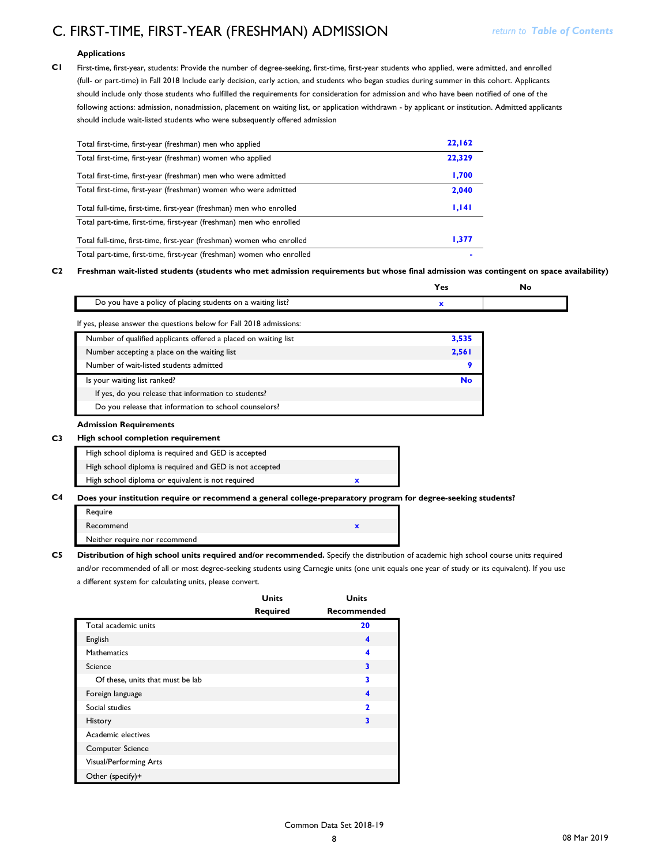## C. FIRST-TIME, FIRST-YEAR (FRESHMAN) ADMISSION *X4A0T*

#### **Applications**

**C1**

First-time, first-year, students: Provide the number of degree-seeking, first-time, first-year students who applied, were admitted, and enrolled (full- or part-time) in Fall 2018 Include early decision, early action, and students who began studies during summer in this cohort. Applicants should include only those students who fulfilled the requirements for consideration for admission and who have been notified of one of the following actions: admission, nonadmission, placement on waiting list, or application withdrawn - by applicant or institution. Admitted applicants should include wait-listed students who were subsequently offered admission

| Total first-time, first-year (freshman) men who applied               | 22,162 |
|-----------------------------------------------------------------------|--------|
| Total first-time, first-year (freshman) women who applied             | 22,329 |
| Total first-time, first-year (freshman) men who were admitted         | 1,700  |
| Total first-time, first-year (freshman) women who were admitted       | 2,040  |
| Total full-time, first-time, first-year (freshman) men who enrolled   | 1,141  |
| Total part-time, first-time, first-year (freshman) men who enrolled   |        |
| Total full-time, first-time, first-year (freshman) women who enrolled |        |
|                                                                       | 1,377  |

**C2 Freshman wait-listed students (students who met admission requirements but whose final admission was contingent on space availability)**

|                                                                     | Yes       | No |
|---------------------------------------------------------------------|-----------|----|
| Do you have a policy of placing students on a waiting list?         | x         |    |
| If yes, please answer the questions below for Fall 2018 admissions: |           |    |
| Number of qualified applicants offered a placed on waiting list     | 3,535     |    |
| Number accepting a place on the waiting list                        | 2,561     |    |
| Number of wait-listed students admitted                             | 9         |    |
| Is your waiting list ranked?                                        | <b>No</b> |    |
| If yes, do you release that information to students?                |           |    |
| Do you release that information to school counselors?               |           |    |
| <b>Admission Requirements</b>                                       |           |    |
| High school completion requirement                                  |           |    |
| High school diploma is required and GED is accepted                 |           |    |
|                                                                     |           |    |

High school diploma is required and GED is not accepted

**C3 x** High school diploma or equivalent is not required

#### **C4 Does your institution require or recommend a general college-preparatory program for degree-seeking students?**

| Require                       |  |
|-------------------------------|--|
| Recommend                     |  |
| Neither require nor recommend |  |

**C5 Distribution of high school units required and/or recommended.** Specify the distribution of academic high school course units required and/or recommended of all or most degree-seeking students using Carnegie units (one unit equals one year of study or its equivalent). If you use a different system for calculating units, please convert.

|                                  | <b>Units</b>    | <b>Units</b>             |
|----------------------------------|-----------------|--------------------------|
|                                  | <b>Required</b> | <b>Recommended</b>       |
| Total academic units             |                 | 20                       |
| English                          |                 | 4                        |
| Mathematics                      |                 | 4                        |
| Science                          |                 | 3                        |
| Of these, units that must be lab |                 | 3                        |
| Foreign language                 |                 | 4                        |
| Social studies                   |                 | $\overline{\phantom{a}}$ |
| History                          |                 | 3                        |
| Academic electives               |                 |                          |
| <b>Computer Science</b>          |                 |                          |
| Visual/Performing Arts           |                 |                          |
| Other (specify)+                 |                 |                          |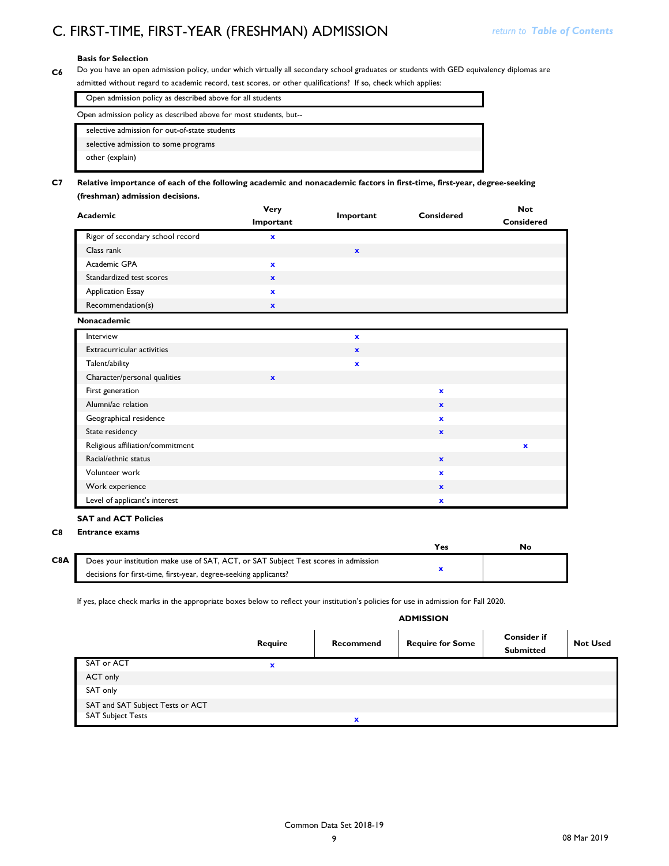### **Basis for Selection**

**C6** Do you have an open admission policy, under which virtually all secondary school graduates or students with GED equivalency diplomas are admitted without regard to academic record, test scores, or other qualifications? If so, check which applies:

| Open admission policy as described above for all students         |
|-------------------------------------------------------------------|
| Open admission policy as described above for most students, but-- |
| selective admission for out-of-state students                     |
| selective admission to some programs                              |
| other (explain)                                                   |

#### **C7 Relative importance of each of the following academic and nonacademic factors in first-time, first-year, degree-seeking (freshman) admission decisions.**

| Academic                         | Very<br>Important | Important   | Considered | <b>Not</b><br>Considered |
|----------------------------------|-------------------|-------------|------------|--------------------------|
| Rigor of secondary school record | x                 |             |            |                          |
| Class rank                       |                   | $\mathbf x$ |            |                          |
| Academic GPA                     | x                 |             |            |                          |
| Standardized test scores         | $\mathbf x$       |             |            |                          |
| <b>Application Essay</b>         | ×                 |             |            |                          |
| Recommendation(s)                | ×                 |             |            |                          |

#### **C7 Nonacademic**

| Interview                         |              | x            |              |             |
|-----------------------------------|--------------|--------------|--------------|-------------|
| <b>Extracurricular activities</b> |              | $\mathbf{x}$ |              |             |
| Talent/ability                    |              | $\mathbf x$  |              |             |
| Character/personal qualities      | $\mathbf{x}$ |              |              |             |
| First generation                  |              |              | $\mathbf x$  |             |
| Alumni/ae relation                |              |              | $\mathbf{x}$ |             |
| Geographical residence            |              |              | $\mathbf x$  |             |
| State residency                   |              |              | $\mathbf{x}$ |             |
| Religious affiliation/commitment  |              |              |              | $\mathbf x$ |
| Racial/ethnic status              |              |              | $\mathbf x$  |             |
| Volunteer work                    |              |              | $\mathbf x$  |             |
| Work experience                   |              |              | $\mathbf x$  |             |
| Level of applicant's interest     |              |              | $\mathbf x$  |             |

#### **SAT and ACT Policies**

### **C8 Entrance exams**

|     |                                                                                     | Yes |  |
|-----|-------------------------------------------------------------------------------------|-----|--|
| C8A | Does your institution make use of SAT, ACT, or SAT Subject Test scores in admission |     |  |
|     | decisions for first-time, first-year, degree-seeking applicants?                    |     |  |

If yes, place check marks in the appropriate boxes below to reflect your institution's policies for use in admission for Fall 2020.

### **ADMISSION**

|                                  | Require | Recommend   | <b>Require for Some</b> | <b>Consider if</b><br><b>Submitted</b> | <b>Not Used</b> |
|----------------------------------|---------|-------------|-------------------------|----------------------------------------|-----------------|
| SAT or ACT                       | x       |             |                         |                                        |                 |
| ACT only                         |         |             |                         |                                        |                 |
| SAT only                         |         |             |                         |                                        |                 |
| SAT and SAT Subject Tests or ACT |         |             |                         |                                        |                 |
| <b>SAT Subject Tests</b>         |         | $\mathbf x$ |                         |                                        |                 |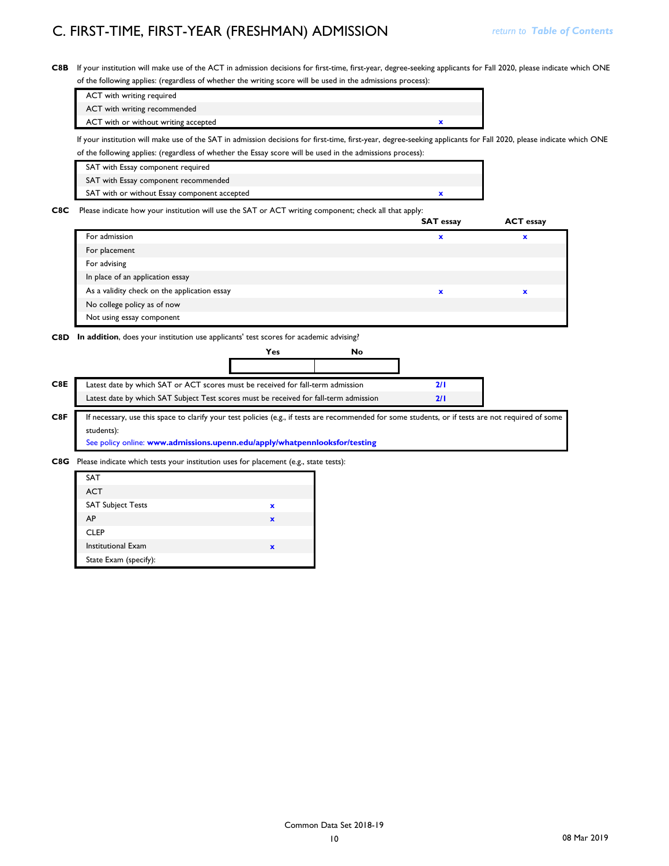**C8B** If your institution will make use of the ACT in admission decisions for first-time, first-year, degree-seeking applicants for Fall 2020, please indicate which ONE of the following applies: (regardless of whether the writing score will be used in the admissions process):

| ACT with writing required            |  |
|--------------------------------------|--|
| ACT with writing recommended         |  |
| ACT with or without writing accepted |  |
| .                                    |  |

If your institution will make use of the SAT in admission decisions for first-time, first-year, degree-seeking applicants for Fall 2020, please indicate which ONE of the following applies: (regardless of whether the Essay score will be used in the admissions process):

| SAT with Essay component required            |  |
|----------------------------------------------|--|
| SAT with Essay component recommended         |  |
| SAT with or without Essay component accepted |  |

**C8C** Please indicate how your institution will use the SAT or ACT writing component; check all that apply:

|                                              | <b>SAT essay</b> | <b>ACT</b> essay |
|----------------------------------------------|------------------|------------------|
| For admission                                | x                | x                |
| For placement                                |                  |                  |
| For advising                                 |                  |                  |
| In place of an application essay             |                  |                  |
| As a validity check on the application essay | $\mathbf x$      |                  |
| No college policy as of now                  |                  |                  |
| Not using essay component                    |                  |                  |

**C8D In addition**, does your institution use applicants' test scores for academic advising?



| <b>SAT</b>                |   |
|---------------------------|---|
| <b>ACT</b>                |   |
| <b>SAT Subject Tests</b>  | x |
| AP                        | × |
| <b>CLEP</b>               |   |
| <b>Institutional Exam</b> | × |
| State Exam (specify):     |   |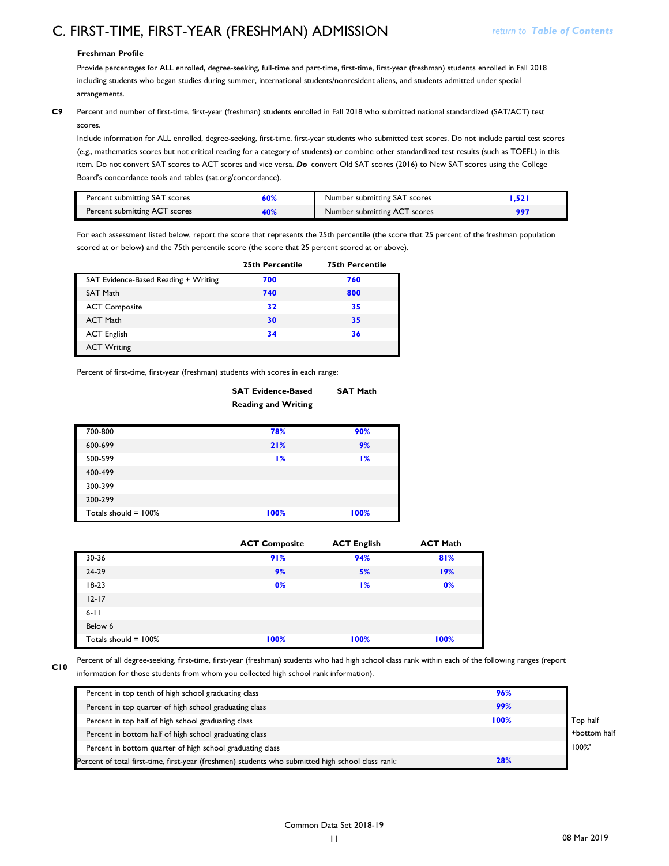#### **Freshman Profile**

Provide percentages for ALL enrolled, degree-seeking, full-time and part-time, first-time, first-year (freshman) students enrolled in Fall 2018 including students who began studies during summer, international students/nonresident aliens, and students admitted under special arrangements.

**C9** Percent and number of first-time, first-year (freshman) students enrolled in Fall 2018 who submitted national standardized (SAT/ACT) test scores.

Include information for ALL enrolled, degree-seeking, first-time, first-year students who submitted test scores. Do not include partial test scores (e.g., mathematics scores but not critical reading for a category of students) or combine other standardized test results (such as TOEFL) in this item. Do not convert SAT scores to ACT scores and vice versa. *Do* convert Old SAT scores (2016) to New SAT scores using the College Board's concordance tools and tables (sat.org/concordance).

| Percent submitting SAT scores | 50% | Number submitting SAT scores |  |
|-------------------------------|-----|------------------------------|--|
| Percent submitting ACT scores |     | Number submitting ACT scores |  |

For each assessment listed below, report the score that represents the 25th percentile (the score that 25 percent of the freshman population scored at or below) and the 75th percentile score (the score that 25 percent scored at or above).

|                                      | 25th Percentile | <b>75th Percentile</b> |
|--------------------------------------|-----------------|------------------------|
| SAT Evidence-Based Reading + Writing | 700             | 760                    |
| <b>SAT Math</b>                      | 740             | 800                    |
| <b>ACT Composite</b>                 | 32              | 35                     |
| <b>ACT Math</b>                      | 30              | 35                     |
| <b>ACT English</b>                   | 34              | 36                     |
| <b>ACT Writing</b>                   |                 |                        |

Percent of first-time, first-year (freshman) students with scores in each range:

|                         | <b>SAT Evidence-Based</b><br><b>Reading and Writing</b> | <b>SAT Math</b> |
|-------------------------|---------------------------------------------------------|-----------------|
| 700-800                 | 78%                                                     | 90%             |
| 600-699                 | 21%                                                     | 9%              |
| 500-599                 | 1%                                                      | 1%              |
| 400-499                 |                                                         |                 |
| 300-399                 |                                                         |                 |
| 200-299                 |                                                         |                 |
| Totals should $= 100\%$ | 100%                                                    | 100%            |

|                         | <b>ACT Composite</b> | <b>ACT English</b> | <b>ACT Math</b> |
|-------------------------|----------------------|--------------------|-----------------|
| 30-36                   | 91%                  | 94%                | 81%             |
| 24-29                   | 9%                   | 5%                 | 19%             |
| $18-23$                 | 0%                   | 1%                 | 0%              |
| $12 - 17$               |                      |                    |                 |
| $6 - 11$                |                      |                    |                 |
| Below 6                 |                      |                    |                 |
| Totals should $= 100\%$ | 100%                 | 100%               | 100%            |

**C10**

Percent of all degree-seeking, first-time, first-year (freshman) students who had high school class rank within each of the following ranges (report information for those students from whom you collected high school rank information).

| Percent in top tenth of high school graduating class                                              | 96%  |              |
|---------------------------------------------------------------------------------------------------|------|--------------|
| Percent in top quarter of high school graduating class                                            | 99%  |              |
| Percent in top half of high school graduating class                                               | 100% | Top half     |
| Percent in bottom half of high school graduating class                                            |      | +bottom half |
| Percent in bottom quarter of high school graduating class                                         |      | 100%'        |
| Percent of total first-time, first-year (freshmen) students who submitted high school class rank: | 28%  |              |
|                                                                                                   |      |              |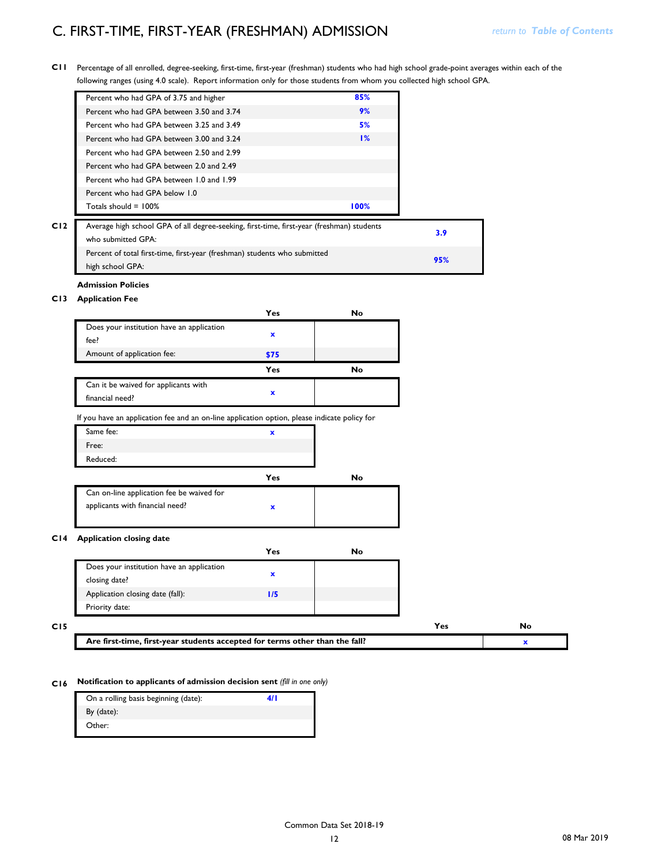**C11** Percentage of all enrolled, degree-seeking, first-time, first-year (freshman) students who had high school grade-point averages within each of the following ranges (using 4.0 scale). Report information only for those students from whom you collected high school GPA.

|     | Percent who had GPA of 3.75 and higher                                                                          | 85%  |
|-----|-----------------------------------------------------------------------------------------------------------------|------|
|     | Percent who had GPA between 3.50 and 3.74                                                                       | 9%   |
|     | Percent who had GPA between 3.25 and 3.49                                                                       | 5%   |
|     | Percent who had GPA between 3.00 and 3.24                                                                       | 1%   |
|     | Percent who had GPA between 2.50 and 2.99                                                                       |      |
|     | Percent who had GPA between 2.0 and 2.49                                                                        |      |
|     | Percent who had GPA between 1.0 and 1.99                                                                        |      |
|     | Percent who had GPA below 1.0                                                                                   |      |
|     | Totals should $= 100\%$                                                                                         | 100% |
| C12 | Average high school GPA of all degree-seeking, first-time, first-year (freshman) students<br>who submitted GPA: |      |
|     | Percent of total first-time, first-year (freshman) students who submitted<br>high school GPA:                   |      |

### **Admission Policies**

### **C13 Application Fee**

|                                                                                              | Yes         | No        |
|----------------------------------------------------------------------------------------------|-------------|-----------|
| Does your institution have an application<br>fee?                                            | $\mathbf x$ |           |
| Amount of application fee:                                                                   | \$75        |           |
|                                                                                              | Yes         | <b>No</b> |
| Can it be waived for applicants with<br>financial need?                                      | $\mathbf x$ |           |
| If you have an application fee and an on-line application option, please indicate policy for |             |           |
| Same fee:                                                                                    | x           |           |
| Free:                                                                                        |             |           |
| Reduced:                                                                                     |             |           |

|                                           | Yes | No |
|-------------------------------------------|-----|----|
| Can on-line application fee be waived for |     |    |
| applicants with financial need?           |     |    |

#### **C14 Application closing date**

|                                           | Yes | N٥ |
|-------------------------------------------|-----|----|
| Does your institution have an application |     |    |
| closing date?                             |     |    |
| Application closing date (fall):          | W   |    |
| Priority date:                            |     |    |

| CI5 |                                                                                                                         |  |
|-----|-------------------------------------------------------------------------------------------------------------------------|--|
|     | ' than the fall?<br>$^\centerdot$ students accepted for terms other $^\centerdot$<br>. first-vear<br>Are first<br>time. |  |

### **C16 Notification to applicants of admission decision sent** *(fill in one only)*

| On a rolling basis beginning (date): |  |
|--------------------------------------|--|
| By (date):                           |  |
| Other:                               |  |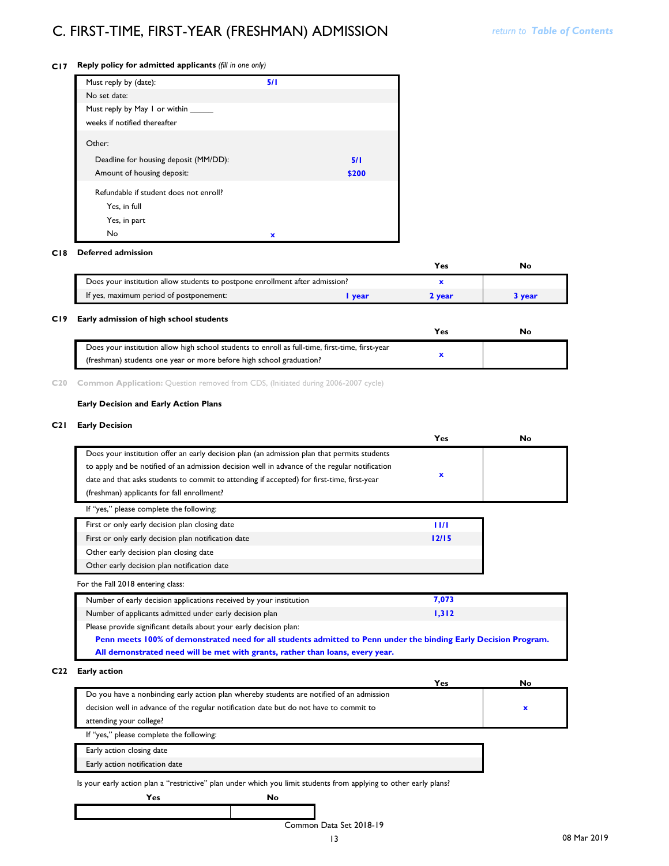### **C17 Reply policy for admitted applicants** *(fill in one only)*

| Must reply by (date):                  | 5/1 |       |
|----------------------------------------|-----|-------|
| No set date:                           |     |       |
| Must reply by May I or within          |     |       |
| weeks if notified thereafter           |     |       |
| Other:                                 |     |       |
| Deadline for housing deposit (MM/DD):  |     | 5/1   |
| Amount of housing deposit:             |     | \$200 |
| Refundable if student does not enroll? |     |       |
| Yes, in full                           |     |       |
| Yes, in part                           |     |       |
| No                                     | x   |       |

#### **C18 Deferred admission**

|                                                                              |             | Yes | Nc   |
|------------------------------------------------------------------------------|-------------|-----|------|
| Does your institution allow students to postpone enrollment after admission? |             |     |      |
| If yes, maximum period of postponement:                                      | <b>vear</b> |     | vear |

#### **C19 Early admission of high school students**

| Does your institution allow high school students to enroll as full-time, first-time, first-year |  |
|-------------------------------------------------------------------------------------------------|--|
| (freshman) students one year or more before high school graduation?                             |  |

**C20 Common Application:** Question removed from CDS, (Initiated during 2006-2007 cycle)

#### **Early Decision and Early Action Plans**

#### **C21 Early Decision**

|                                                                                                                  | Yes            | No |
|------------------------------------------------------------------------------------------------------------------|----------------|----|
| Does your institution offer an early decision plan (an admission plan that permits students                      |                |    |
| to apply and be notified of an admission decision well in advance of the regular notification                    |                |    |
| date and that asks students to commit to attending if accepted) for first-time, first-year                       | $\mathbf x$    |    |
| (freshman) applicants for fall enrollment?                                                                       |                |    |
| If "yes," please complete the following:                                                                         |                |    |
| First or only early decision plan closing date                                                                   | $\blacksquare$ |    |
| First or only early decision plan notification date                                                              | 12/15          |    |
| Other early decision plan closing date                                                                           |                |    |
| Other early decision plan notification date                                                                      |                |    |
| For the Fall 2018 entering class:                                                                                |                |    |
| Number of early decision applications received by your institution                                               | 7,073          |    |
| Number of applicants admitted under early decision plan                                                          | 1,312          |    |
| Please provide significant details about your early decision plan:                                               |                |    |
| Penn meets 100% of demonstrated need for all students admitted to Penn under the binding Early Decision Program. |                |    |
| All demonstrated need will be met with grants, rather than loans, every year.                                    |                |    |

#### **C22 Early action**

|                                                                                          | Yes | No |  |
|------------------------------------------------------------------------------------------|-----|----|--|
| Do you have a nonbinding early action plan whereby students are notified of an admission |     |    |  |
| decision well in advance of the regular notification date but do not have to commit to   |     |    |  |
| attending your college?                                                                  |     |    |  |
| If "yes," please complete the following:                                                 |     |    |  |
| Early action closing date                                                                |     |    |  |
| Early action notification date                                                           |     |    |  |

Is your early action plan a "restrictive" plan under which you limit students from applying to other early plans?

**Yes No**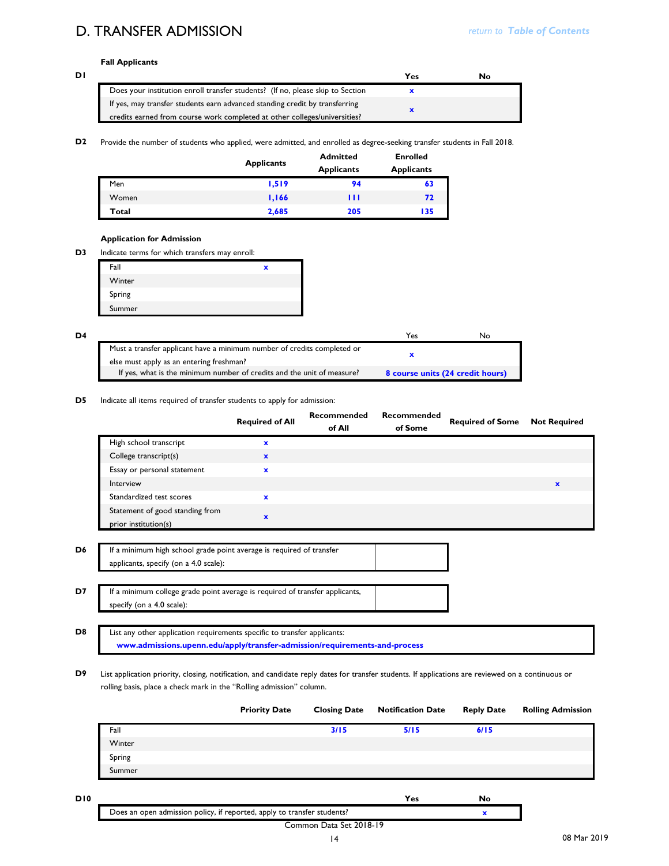## D. TRANSFER ADMISSION

### **Fall Applicants**

| וס |                                                                                | Yes | No |
|----|--------------------------------------------------------------------------------|-----|----|
|    | Does your institution enroll transfer students? (If no, please skip to Section |     |    |
|    | If yes, may transfer students earn advanced standing credit by transferring    |     |    |
|    | credits earned from course work completed at other colleges/universities?      |     |    |

#### **D2** Provide the number of students who applied, were admitted, and enrolled as degree-seeking transfer students in Fall 2018.

|       | <b>Applicants</b> | <b>Admitted</b><br><b>Applicants</b> | <b>Enrolled</b><br><b>Applicants</b> |
|-------|-------------------|--------------------------------------|--------------------------------------|
| Men   | 1,519             | 94                                   | 63                                   |
| Women | 1,166             | ш                                    | 72                                   |
| Total | 2,685             | 205                                  | 135                                  |

#### **Application for Admission**

**D3** Indicate terms for which transfers may enroll:

| Fall   | x |
|--------|---|
| Winter |   |
| Spring |   |
| Summer |   |

| D4 |                                                                         | Yes.                             | NΟ |
|----|-------------------------------------------------------------------------|----------------------------------|----|
|    | Must a transfer applicant have a minimum number of credits completed or |                                  |    |
|    | else must apply as an entering freshman?                                |                                  |    |
|    | If yes, what is the minimum number of credits and the unit of measure?  | 8 course units (24 credit hours) |    |

#### **D5** Indicate all items required of transfer students to apply for admission:

|                                                                                                               | <b>Required of All</b> | Recommended<br>of All | <b>Recommended</b><br>of Some | <b>Required of Some</b> | <b>Not Required</b> |
|---------------------------------------------------------------------------------------------------------------|------------------------|-----------------------|-------------------------------|-------------------------|---------------------|
| High school transcript                                                                                        | $\mathbf x$            |                       |                               |                         |                     |
| College transcript(s)                                                                                         | $\mathbf{x}$           |                       |                               |                         |                     |
| Essay or personal statement                                                                                   | $\mathbf{x}$           |                       |                               |                         |                     |
| Interview                                                                                                     |                        |                       |                               |                         | $\mathbf{x}$        |
| Standardized test scores                                                                                      | $\mathbf{x}$           |                       |                               |                         |                     |
| Statement of good standing from<br>prior institution(s)                                                       | $\mathbf x$            |                       |                               |                         |                     |
| If a minimum high school grade point average is required of transfer<br>applicants, specify (on a 4.0 scale): |                        |                       |                               |                         |                     |
| If a minimum college grade point average is required of transfer applicants,                                  |                        |                       |                               |                         |                     |
| specify (on a 4.0 scale):                                                                                     |                        |                       |                               |                         |                     |

## **D8**

**D7**

**D6**

List any other application requirements specific to transfer applicants: **www.admissions.upenn.edu/apply/transfer-admission/requirements-and-process**

**D9** List application priority, closing, notification, and candidate reply dates for transfer students. If applications are reviewed on a continuous or rolling basis, place a check mark in the "Rolling admission" column.

|        | <b>Priority Date</b> | <b>Closing Date</b> | <b>Notification Date</b> | <b>Reply Date</b> | <b>Rolling Admission</b> |
|--------|----------------------|---------------------|--------------------------|-------------------|--------------------------|
| Fall   |                      | 3/15                | 5/15                     | 6/15              |                          |
| Winter |                      |                     |                          |                   |                          |
| Spring |                      |                     |                          |                   |                          |
| Summer |                      |                     |                          |                   |                          |

**D10 Yes No**

#### Common Data Set 2018-19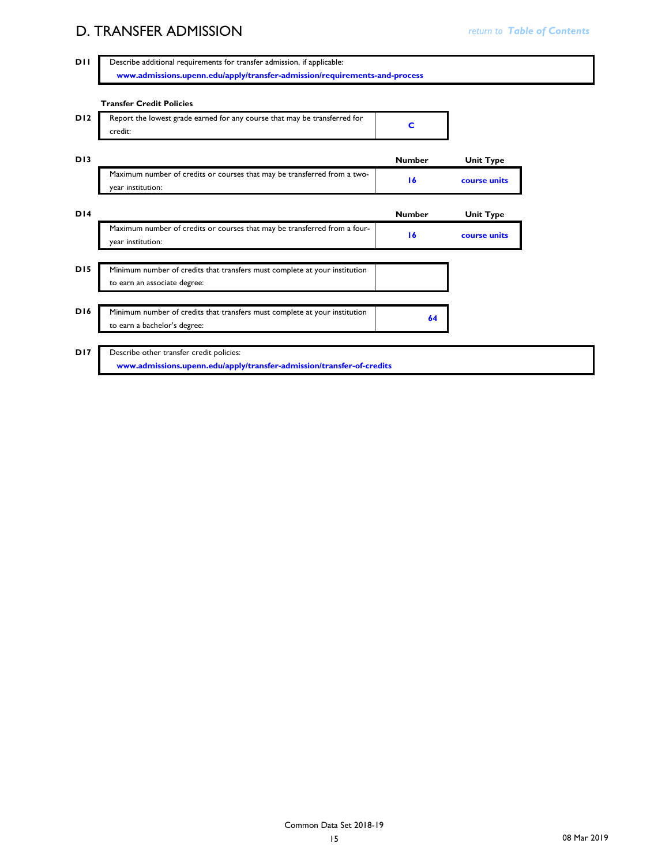## **D. TRANSFER ADMISSION** *D. TRANSFER ADMISSION*

| <b>Transfer Credit Policies</b>                                                                            |               |                  |
|------------------------------------------------------------------------------------------------------------|---------------|------------------|
| Report the lowest grade earned for any course that may be transferred for<br>credit:                       | C             |                  |
|                                                                                                            | <b>Number</b> | <b>Unit Type</b> |
| Maximum number of credits or courses that may be transferred from a two-<br>year institution:              | 16            | course units     |
|                                                                                                            | <b>Number</b> | <b>Unit Type</b> |
| Maximum number of credits or courses that may be transferred from a four-<br>year institution:             | 16            | course units     |
| Minimum number of credits that transfers must complete at your institution                                 |               |                  |
| to earn an associate degree:                                                                               |               |                  |
| Minimum number of credits that transfers must complete at your institution<br>to earn a bachelor's degree: | 64            |                  |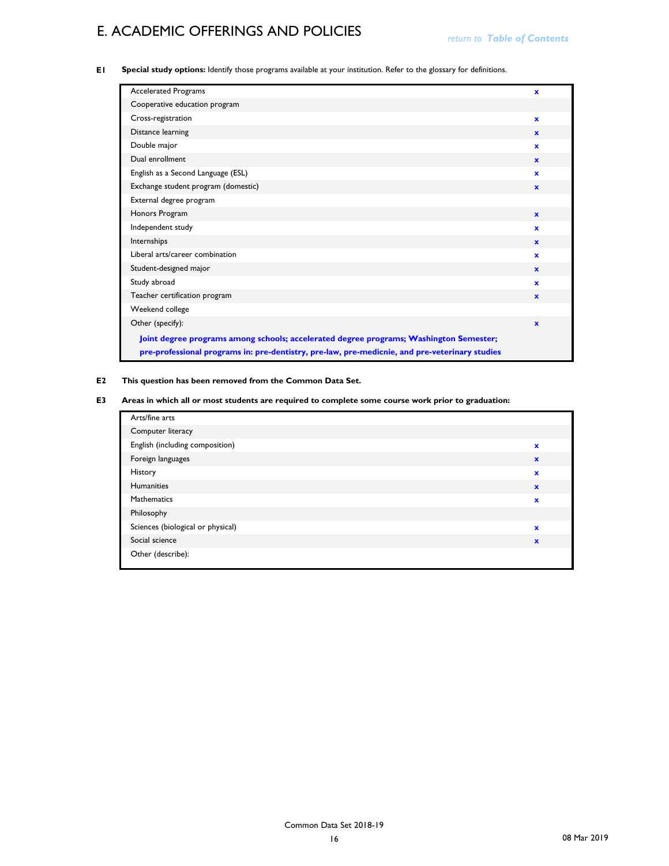# **E. ACADEMIC OFFERINGS AND POLICIES** *return to Table of Contents*

**E1 Special study options:** Identify those programs available at your institution. Refer to the glossary for definitions.

| <b>Accelerated Programs</b>                                                                                                                                                              | $\mathbf x$  |
|------------------------------------------------------------------------------------------------------------------------------------------------------------------------------------------|--------------|
| Cooperative education program                                                                                                                                                            |              |
| Cross-registration                                                                                                                                                                       | $\mathbf{x}$ |
| Distance learning                                                                                                                                                                        | $\mathbf{x}$ |
| Double major                                                                                                                                                                             | $\mathbf{x}$ |
| Dual enrollment                                                                                                                                                                          | $\mathbf{x}$ |
| English as a Second Language (ESL)                                                                                                                                                       | $\mathbf{x}$ |
| Exchange student program (domestic)                                                                                                                                                      | $\mathbf{x}$ |
| External degree program                                                                                                                                                                  |              |
| Honors Program                                                                                                                                                                           | $\mathbf{x}$ |
| Independent study                                                                                                                                                                        | $\mathbf{x}$ |
| Internships                                                                                                                                                                              | $\mathbf{x}$ |
| Liberal arts/career combination                                                                                                                                                          | $\mathbf{x}$ |
| Student-designed major                                                                                                                                                                   | $\mathbf{x}$ |
| Study abroad                                                                                                                                                                             | $\mathbf{x}$ |
| Teacher certification program                                                                                                                                                            | $\mathbf{x}$ |
| Weekend college                                                                                                                                                                          |              |
| Other (specify):                                                                                                                                                                         | $\mathbf{x}$ |
| Joint degree programs among schools; accelerated degree programs; Washington Semester;<br>pre-professional programs in: pre-dentistry, pre-law, pre-medicnie, and pre-veterinary studies |              |

### **E2 This question has been removed from the Common Data Set.**

**E3 Areas in which all or most students are required to complete some course work prior to graduation:**

| Arts/fine arts                    |              |
|-----------------------------------|--------------|
| Computer literacy                 |              |
| English (including composition)   | $\mathbf x$  |
| Foreign languages                 | $\mathbf x$  |
| History                           | $\mathbf x$  |
| Humanities                        | $\mathbf{x}$ |
| Mathematics                       | $\mathbf x$  |
| Philosophy                        |              |
| Sciences (biological or physical) | $\mathbf x$  |
| Social science                    | $\mathbf{x}$ |
| Other (describe):                 |              |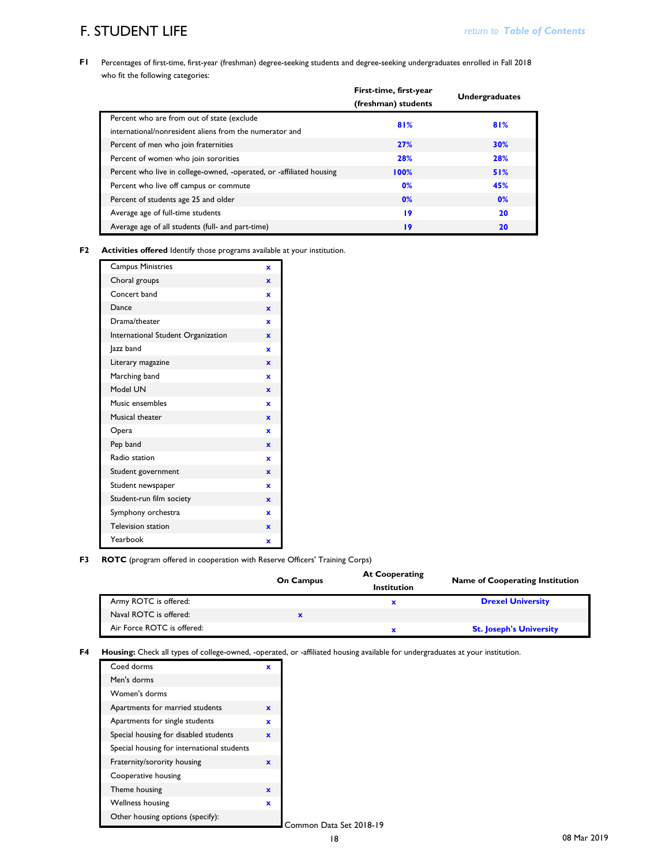## **F. STUDENT LIFE**

**F1** Percentages of first-time, first-year (freshman) degree-seeking students and degree-seeking undergraduates enrolled in Fall 2018 who fit the following categories:

|                                                                      | First-time, first-year |                       |
|----------------------------------------------------------------------|------------------------|-----------------------|
|                                                                      | (freshman) students    | <b>Undergraduates</b> |
| Percent who are from out of state (exclude                           | 81%                    | 81%                   |
| international/nonresident aliens from the numerator and              |                        |                       |
| Percent of men who join fraternities                                 | <b>27%</b>             | <b>30%</b>            |
| Percent of women who join sororities                                 | 28%                    | 28%                   |
| Percent who live in college-owned, -operated, or -affiliated housing | 100%                   | 51%                   |
| Percent who live off campus or commute                               | 0%                     | 45%                   |
| Percent of students age 25 and older                                 | 0%                     | 0%                    |
| Average age of full-time students                                    | 19                     | 20                    |
| Average age of all students (full- and part-time)                    | 19                     | 20                    |

**F2 Activities offered** Identify those programs available at your institution.

| <b>Campus Ministries</b>           | $\mathbf x$ |
|------------------------------------|-------------|
| Choral groups                      | ×           |
| Concert band                       | ×           |
| Dance                              | $\mathbf x$ |
| Drama/theater                      | x           |
| International Student Organization | $\mathbf x$ |
| Jazz band                          | ×           |
| Literary magazine                  | $\mathbf x$ |
| Marching band                      | x           |
| Model UN                           | $\mathbf x$ |
| Music ensembles                    | ×           |
| Musical theater                    | $\mathbf x$ |
| Opera                              | ×           |
| Pep band                           | $\mathbf x$ |
| Radio station                      | $\mathbf x$ |
| Student government                 | $\mathbf x$ |
| Student newspaper                  | ×           |
| Student-run film society           | $\mathbf x$ |
| Symphony orchestra                 | x           |
| <b>Television station</b>          | $\mathbf x$ |
| Yearbook                           | x           |

#### **F3 ROTC** (program offered in cooperation with Reserve Officers' Training Corps)

|                            | <b>On Campus</b> | <b>At Cooperating</b><br>Institution | <b>Name of Cooperating Institution</b> |
|----------------------------|------------------|--------------------------------------|----------------------------------------|
| Army ROTC is offered:      |                  |                                      | <b>Drexel University</b>               |
| Naval ROTC is offered:     |                  |                                      |                                        |
| Air Force ROTC is offered: |                  |                                      | <b>St. Joseph's University</b>         |

**F4 Housing:** Check all types of college-owned, -operated, or -affiliated housing available for undergraduates at your institution.

| Coed dorms                                 | x            |
|--------------------------------------------|--------------|
| Men's dorms                                |              |
| Women's dorms                              |              |
| Apartments for married students            | $\mathbf x$  |
| Apartments for single students             | $\mathbf{x}$ |
| Special housing for disabled students      | $\mathbf x$  |
| Special housing for international students |              |
| Fraternity/sorority housing                | $\mathbf x$  |
| Cooperative housing                        |              |
| Theme housing                              | $\mathbf x$  |
| <b>Wellness housing</b>                    | $\mathbf x$  |
| Other housing options (specify):           |              |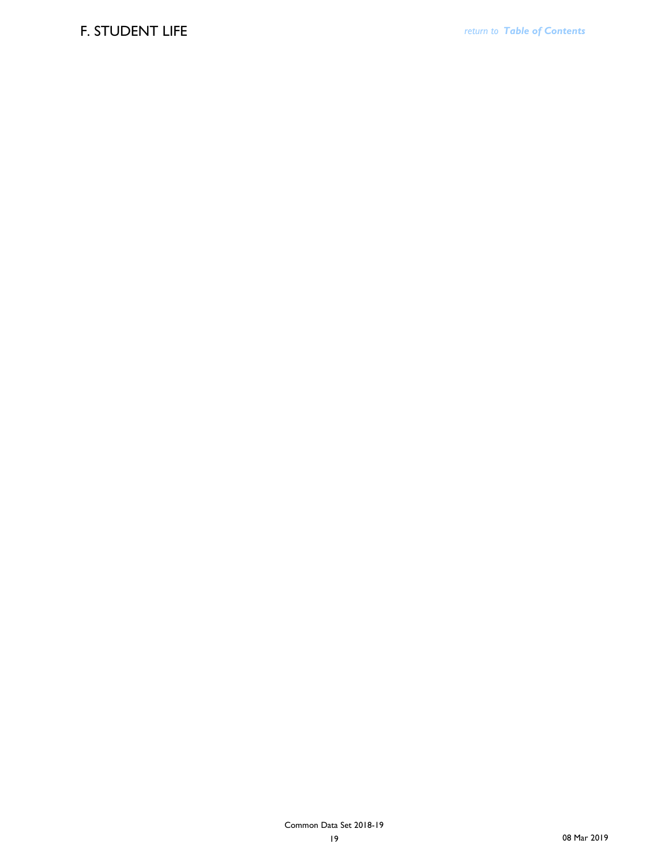### F. STUDENT LIFE *return to Table of Contents*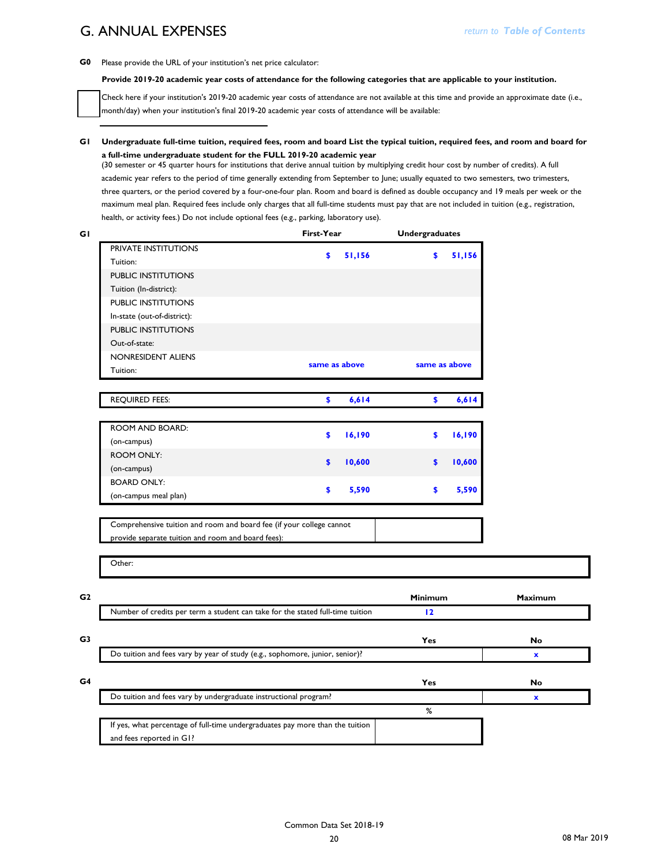## G. ANNUAL EXPENSES

**G0** Please provide the URL of your institution's net price calculator:

#### **Provide 2019-20 academic year costs of attendance for the following categories that are applicable to your institution.**

Check here if your institution's 2019-20 academic year costs of attendance are not available at this time and provide an approximate date (i.e., month/day) when your institution's final 2019-20 academic year costs of attendance will be available:

**G1 Undergraduate full-time tuition, required fees, room and board List the typical tuition, required fees, and room and board for a full-time undergraduate student for the FULL 2019-20 academic year**

(30 semester or 45 quarter hours for institutions that derive annual tuition by multiplying credit hour cost by number of credits). A full academic year refers to the period of time generally extending from September to June; usually equated to two semesters, two trimesters, three quarters, or the period covered by a four-one-four plan. Room and board is defined as double occupancy and 19 meals per week or the maximum meal plan. Required fees include only charges that all full-time students must pay that are not included in tuition (e.g., registration, health, or activity fees.) Do not include optional fees (e.g., parking, laboratory use).

|                                                                                | First-Year    |        | <b>Undergraduates</b> |        |                |
|--------------------------------------------------------------------------------|---------------|--------|-----------------------|--------|----------------|
| PRIVATE INSTITUTIONS                                                           |               |        |                       |        |                |
| Tuition:                                                                       | \$            | 51,156 | \$                    | 51,156 |                |
| <b>PUBLIC INSTITUTIONS</b>                                                     |               |        |                       |        |                |
| Tuition (In-district):                                                         |               |        |                       |        |                |
| PUBLIC INSTITUTIONS                                                            |               |        |                       |        |                |
| In-state (out-of-district):                                                    |               |        |                       |        |                |
| PUBLIC INSTITUTIONS                                                            |               |        |                       |        |                |
| Out-of-state:                                                                  |               |        |                       |        |                |
| NONRESIDENT ALIENS                                                             |               |        |                       |        |                |
| Tuition:                                                                       | same as above |        | same as above         |        |                |
| <b>REQUIRED FEES:</b>                                                          |               |        |                       |        |                |
|                                                                                | \$            | 6,614  | \$                    | 6,614  |                |
| ROOM AND BOARD:                                                                |               |        |                       |        |                |
| (on-campus)                                                                    | \$            | 16,190 | \$                    | 16,190 |                |
| <b>ROOM ONLY:</b>                                                              |               |        |                       |        |                |
| (on-campus)                                                                    | \$            | 10,600 | \$                    | 10,600 |                |
| <b>BOARD ONLY:</b>                                                             |               |        |                       |        |                |
| (on-campus meal plan)                                                          | \$            | 5,590  | \$                    | 5,590  |                |
|                                                                                |               |        |                       |        |                |
| Comprehensive tuition and room and board fee (if your college cannot           |               |        |                       |        |                |
| provide separate tuition and room and board fees):                             |               |        |                       |        |                |
|                                                                                |               |        |                       |        |                |
| Other:                                                                         |               |        |                       |        |                |
|                                                                                |               |        |                       |        |                |
|                                                                                |               |        | Minimum               |        | <b>Maximum</b> |
| Number of credits per term a student can take for the stated full-time tuition |               |        | 12                    |        |                |
|                                                                                |               |        | Yes                   |        | No             |
| Do tuition and fees vary by year of study (e.g., sophomore, junior, senior)?   |               |        |                       |        | $\mathbf x$    |
|                                                                                |               |        |                       |        |                |
|                                                                                |               |        | Yes                   |        | No             |
| Do tuition and fees vary by undergraduate instructional program?               |               |        |                       |        | x              |
|                                                                                |               |        | %                     |        |                |
| If yes, what percentage of full-time undergraduates pay more than the tuition  |               |        |                       |        |                |
| and fees reported in G1?                                                       |               |        |                       |        |                |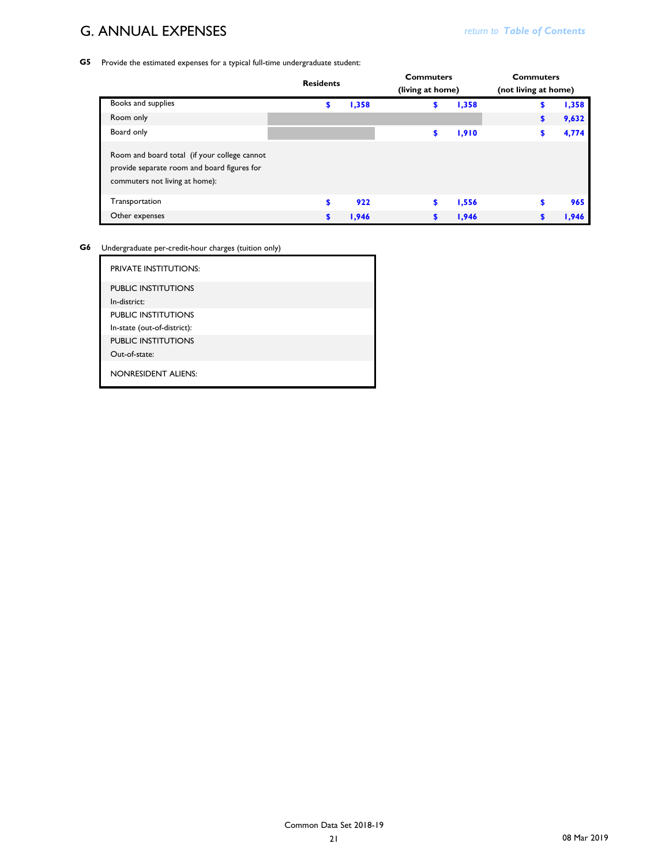### G. ANNUAL EXPENSES *CONTENTS <b>REG. Return to Table of Contents return to Table of Contents*

**G5** Provide the estimated expenses for a typical full-time undergraduate student:

|                                                                                                                               | <b>Residents</b> |       | <b>Commuters</b><br>(living at home) |       | <b>Commuters</b><br>(not living at home) |       |
|-------------------------------------------------------------------------------------------------------------------------------|------------------|-------|--------------------------------------|-------|------------------------------------------|-------|
| Books and supplies                                                                                                            |                  |       |                                      |       |                                          | 1,358 |
|                                                                                                                               | \$               | 1,358 | \$                                   | 1,358 | \$                                       |       |
| Room only                                                                                                                     |                  |       |                                      |       | \$                                       | 9,632 |
| Board only                                                                                                                    |                  |       | S                                    | 1,910 | \$                                       | 4,774 |
| Room and board total (if your college cannot<br>provide separate room and board figures for<br>commuters not living at home): |                  |       |                                      |       |                                          |       |
| Transportation                                                                                                                | \$               | 922   | S                                    | 1,556 | \$                                       | 965   |
| Other expenses                                                                                                                | \$               | 1,946 | \$                                   | 1,946 |                                          | 1,946 |

**G6** Undergraduate per-credit-hour charges (tuition only)

| <b>PRIVATE INSTITUTIONS:</b>               |
|--------------------------------------------|
| <b>PUBLIC INSTITUTIONS</b><br>In-district: |
| <b>PUBLIC INSTITUTIONS</b>                 |
| In-state (out-of-district):                |
| <b>PUBLIC INSTITUTIONS</b>                 |
| Out-of-state:                              |
| <b>NONRESIDENT ALIENS:</b>                 |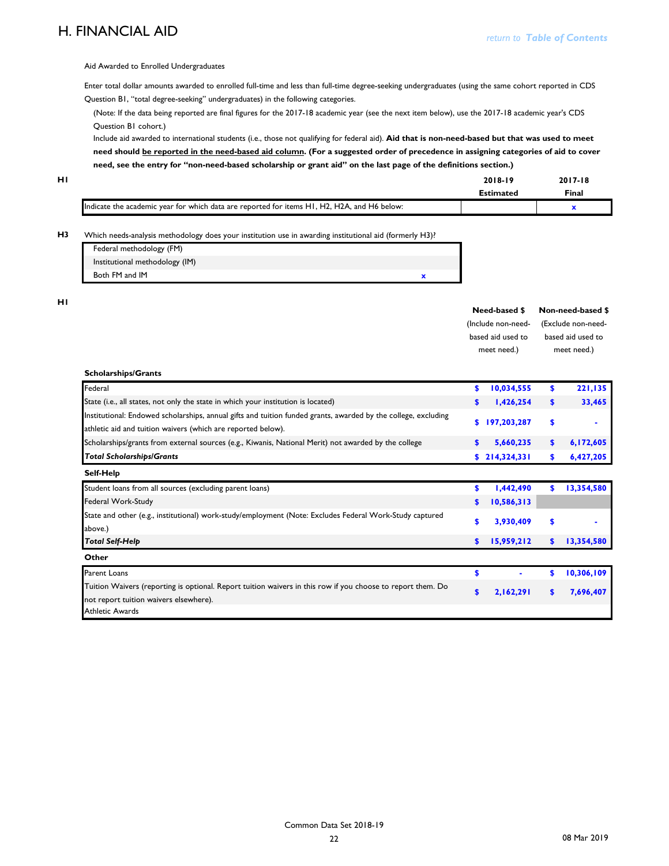### **H. FINANCIAL AID**

Aid Awarded to Enrolled Undergraduates

Enter total dollar amounts awarded to enrolled full-time and less than full-time degree-seeking undergraduates (using the same cohort reported in CDS Question B1, "total degree-seeking" undergraduates) in the following categories.

(Note: If the data being reported are final figures for the 2017-18 academic year (see the next item below), use the 2017-18 academic year's CDS Question B1 cohort.)

Include aid awarded to international students (i.e., those not qualifying for federal aid). **Aid that is non-need-based but that was used to meet need should be reported in the need-based aid column. (For a suggested order of precedence in assigning categories of aid to cover need, see the entry for "non-need-based scholarship or grant aid" on the last page of the definitions section.)**

| нι |                                                                                             | 2018-19          | $2017 - 18$ |
|----|---------------------------------------------------------------------------------------------|------------------|-------------|
|    |                                                                                             | <b>Estimated</b> | Final       |
|    | Indicate the academic year for which data are reported for items H1, H2, H2A, and H6 below: |                  |             |

#### **H3** Which needs-analysis methodology does your institution use in awarding institutional aid (formerly H3)?

| Federal methodology (FM)       |  |
|--------------------------------|--|
| Institutional methodology (IM) |  |
| Both FM and IM                 |  |

**H1**

| Need-based \$      | Non-need-based \$  |
|--------------------|--------------------|
| (Include non-need- | (Exclude non-need- |
| based aid used to  | based aid used to  |
| meet need.)        | meet need.)        |

| <b>Scholarships/Grants</b>                                                                                     |               |               |     |            |
|----------------------------------------------------------------------------------------------------------------|---------------|---------------|-----|------------|
| Federal                                                                                                        | \$            | 10,034,555    | \$  | 221,135    |
| State (i.e., all states, not only the state in which your institution is located)                              | \$            | 1,426,254     | s.  | 33,465     |
| Institutional: Endowed scholarships, annual gifts and tuition funded grants, awarded by the college, excluding | s.            | 197,203,287   | \$  |            |
| athletic aid and tuition waivers (which are reported below).                                                   |               |               |     |            |
| Scholarships/grants from external sources (e.g., Kiwanis, National Merit) not awarded by the college           | <sup>\$</sup> | 5,660,235     | \$  | 6,172,605  |
| <b>Total Scholarships/Grants</b>                                                                               |               | \$214,324,331 | \$. | 6,427,205  |
| Self-Help                                                                                                      |               |               |     |            |
| Student loans from all sources (excluding parent loans)                                                        | S             | 1,442,490     | \$. | 13,354,580 |
| Federal Work-Study                                                                                             | \$            | 10,586,313    |     |            |
| State and other (e.g., institutional) work-study/employment (Note: Excludes Federal Work-Study captured        | \$            | 3,930,409     | \$  |            |
| above.)                                                                                                        |               |               |     |            |
| <b>Total Self-Help</b>                                                                                         | <sup>\$</sup> | 15,959,212    | s.  | 13,354,580 |
| Other                                                                                                          |               |               |     |            |
| Parent Loans                                                                                                   | \$            |               | \$. | 10,306,109 |
| Tuition Waivers (reporting is optional. Report tuition waivers in this row if you choose to report them. Do    | $\mathbf{s}$  | 2,162,291     | S   | 7,696,407  |
| not report tuition waivers elsewhere).                                                                         |               |               |     |            |
| Athletic Awards                                                                                                |               |               |     |            |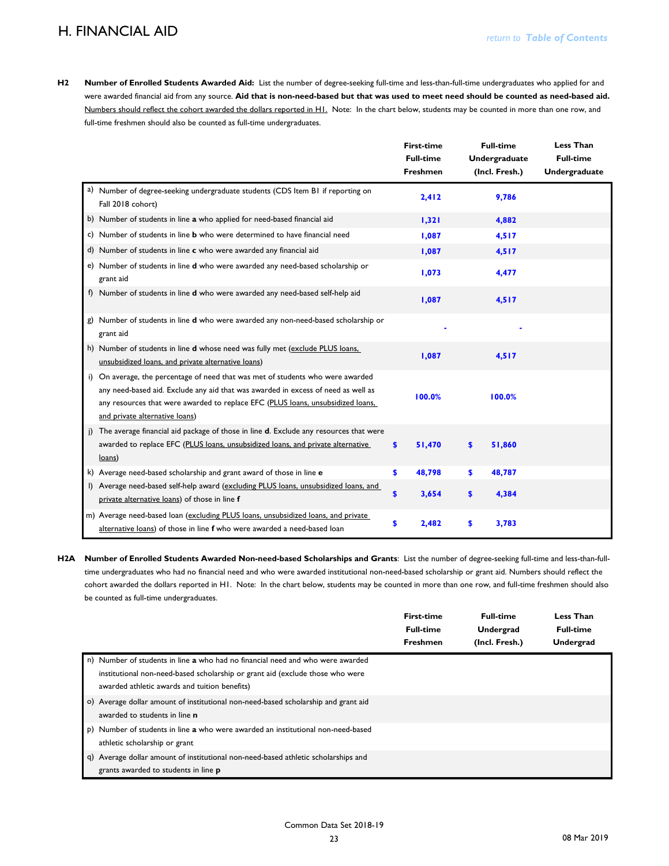### **H. FINANCIAL AID**

**H2 Number of Enrolled Students Awarded Aid:** List the number of degree-seeking full-time and less-than-full-time undergraduates who applied for and were awarded financial aid from any source. **Aid that is non-need-based but that was used to meet need should be counted as need-based aid.**  Numbers should reflect the cohort awarded the dollars reported in H1. Note: In the chart below, students may be counted in more than one row, and full-time freshmen should also be counted as full-time undergraduates.

|    |                                                                                                                                                                                                                                                                                        | <b>First-time</b><br><b>Full-time</b><br><b>Freshmen</b> |    | <b>Full-time</b><br>Undergraduate<br>(Incl. Fresh.) | <b>Less Than</b><br><b>Full-time</b><br><b>Undergraduate</b> |
|----|----------------------------------------------------------------------------------------------------------------------------------------------------------------------------------------------------------------------------------------------------------------------------------------|----------------------------------------------------------|----|-----------------------------------------------------|--------------------------------------------------------------|
|    | a) Number of degree-seeking undergraduate students (CDS Item BI if reporting on<br>Fall 2018 cohort)                                                                                                                                                                                   | 2,412                                                    |    | 9,786                                               |                                                              |
|    | b) Number of students in line a who applied for need-based financial aid                                                                                                                                                                                                               | 1,321                                                    |    | 4,882                                               |                                                              |
|    | c) Number of students in line <b>b</b> who were determined to have financial need                                                                                                                                                                                                      | 1,087                                                    |    | 4,517                                               |                                                              |
|    | d) Number of students in line c who were awarded any financial aid                                                                                                                                                                                                                     | 1,087                                                    |    | 4,517                                               |                                                              |
|    | e) Number of students in line d who were awarded any need-based scholarship or<br>grant aid                                                                                                                                                                                            | 1,073                                                    |    | 4,477                                               |                                                              |
|    | f) Number of students in line d who were awarded any need-based self-help aid                                                                                                                                                                                                          | 1,087                                                    |    | 4,517                                               |                                                              |
|    | Number of students in line d who were awarded any non-need-based scholarship or<br>grant aid                                                                                                                                                                                           |                                                          |    |                                                     |                                                              |
|    | h) Number of students in line d whose need was fully met (exclude PLUS loans,<br>unsubsidized loans, and private alternative loans)                                                                                                                                                    | 1,087                                                    |    | 4,517                                               |                                                              |
| i) | On average, the percentage of need that was met of students who were awarded<br>any need-based aid. Exclude any aid that was awarded in excess of need as well as<br>any resources that were awarded to replace EFC (PLUS loans, unsubsidized loans,<br>and private alternative loans) | 100.0%                                                   |    | 100.0%                                              |                                                              |
|    | j) The average financial aid package of those in line d. Exclude any resources that were<br>awarded to replace EFC (PLUS loans, unsubsidized loans, and private alternative<br>loans)                                                                                                  | S<br>51,470                                              | s  | 51,860                                              |                                                              |
|    | k) Average need-based scholarship and grant award of those in line e                                                                                                                                                                                                                   | \$<br>48,798                                             | \$ | 48,787                                              |                                                              |
|    | I) Average need-based self-help award (excluding PLUS loans, unsubsidized loans, and<br>private alternative loans) of those in line f                                                                                                                                                  | \$<br>3,654                                              | \$ | 4,384                                               |                                                              |
|    | m) Average need-based loan (excluding PLUS loans, unsubsidized loans, and private<br>alternative loans) of those in line f who were awarded a need-based loan                                                                                                                          | \$<br>2,482                                              | \$ | 3,783                                               |                                                              |

**H2A Number of Enrolled Students Awarded Non-need-based Scholarships and Grants**: List the number of degree-seeking full-time and less-than-fulltime undergraduates who had no financial need and who were awarded institutional non-need-based scholarship or grant aid. Numbers should reflect the cohort awarded the dollars reported in H1. Note: In the chart below, students may be counted in more than one row, and full-time freshmen should also be counted as full-time undergraduates.

|                                                                                                                                                                                                                  | First-time<br><b>Full-time</b><br><b>Freshmen</b> | <b>Full-time</b><br>Undergrad<br>(Incl. Fresh.) | Less Than<br><b>Full-time</b><br>Undergrad |
|------------------------------------------------------------------------------------------------------------------------------------------------------------------------------------------------------------------|---------------------------------------------------|-------------------------------------------------|--------------------------------------------|
| n) Number of students in line a who had no financial need and who were awarded<br>institutional non-need-based scholarship or grant aid (exclude those who were<br>awarded athletic awards and tuition benefits) |                                                   |                                                 |                                            |
| o) Average dollar amount of institutional non-need-based scholarship and grant aid<br>awarded to students in line n                                                                                              |                                                   |                                                 |                                            |
| Number of students in line a who were awarded an institutional non-need-based<br>D)<br>athletic scholarship or grant                                                                                             |                                                   |                                                 |                                            |
| q) Average dollar amount of institutional non-need-based athletic scholarships and<br>grants awarded to students in line p                                                                                       |                                                   |                                                 |                                            |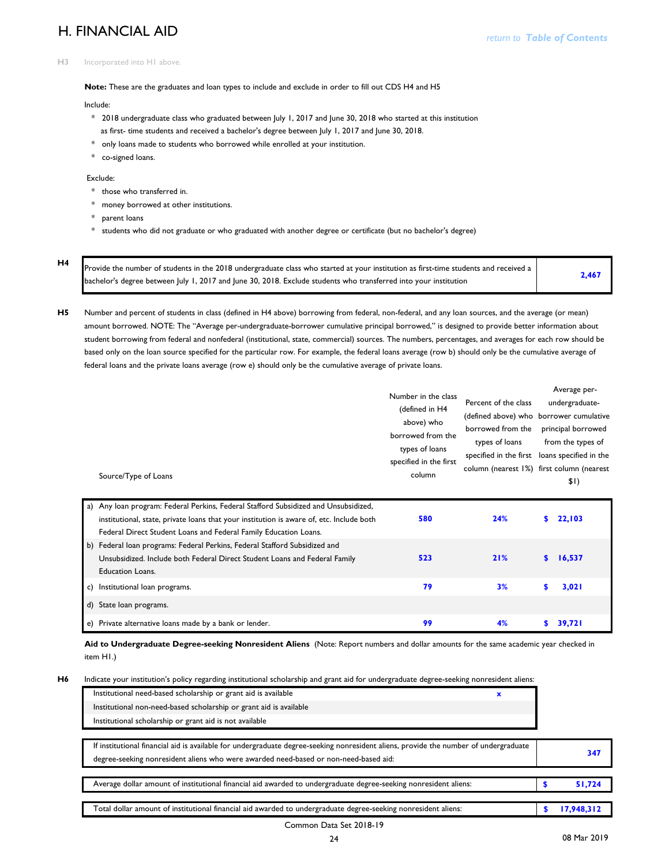# **H. FINANCIAL AID** *return to Table of Contents*

#### **H3** Incorporated into H1 above.

**Note:** These are the graduates and loan types to include and exclude in order to fill out CDS H4 and H5

Include:

- \* 2018 undergraduate class who graduated between July 1, 2017 and June 30, 2018 who started at this institution as first- time students and received a bachelor's degree between July 1, 2017 and June 30, 2018.
- \* only loans made to students who borrowed while enrolled at your institution.
- \* co-signed loans.

Exclude:

- \* those who transferred in.
- \* money borrowed at other institutions.
- \* parent loans
- \* students who did not graduate or who graduated with another degree or certificate (but no bachelor's degree)

**H4**

 **2,467**  Provide the number of students in the 2018 undergraduate class who started at your institution as first-time students and received a bachelor's degree between July 1, 2017 and June 30, 2018. Exclude students who transferred into your institution

**H5** Number and percent of students in class (defined in H4 above) borrowing from federal, non-federal, and any loan sources, and the average (or mean) amount borrowed. NOTE: The "Average per-undergraduate-borrower cumulative principal borrowed," is designed to provide better information about student borrowing from federal and nonfederal (institutional, state, commercial) sources. The numbers, percentages, and averages for each row should be based only on the loan source specified for the particular row. For example, the federal loans average (row b) should only be the cumulative average of federal loans and the private loans average (row e) should only be the cumulative average of private loans.

|    | Source/Type of Loans                                                                                                                                                                                                                                | Number in the class<br>(defined in H4<br>above) who<br>borrowed from the<br>types of loans<br>specified in the first<br>column | Percent of the class<br>(defined above) who borrower cumulative<br>borrowed from the<br>types of loans<br>specified in the first loans specified in the<br>column (nearest I%) first column (nearest |     | Average per-<br>undergraduate-<br>principal borrowed<br>from the types of<br>\$1) |
|----|-----------------------------------------------------------------------------------------------------------------------------------------------------------------------------------------------------------------------------------------------------|--------------------------------------------------------------------------------------------------------------------------------|------------------------------------------------------------------------------------------------------------------------------------------------------------------------------------------------------|-----|-----------------------------------------------------------------------------------|
|    | a) Any Ioan program: Federal Perkins, Federal Stafford Subsidized and Unsubsidized,<br>institutional, state, private loans that your institution is aware of, etc. Include both<br>Federal Direct Student Loans and Federal Family Education Loans. | 580                                                                                                                            | 24%                                                                                                                                                                                                  | S.  | 22,103                                                                            |
|    | b) Federal loan programs: Federal Perkins, Federal Stafford Subsidized and<br>Unsubsidized. Include both Federal Direct Student Loans and Federal Family<br><b>Education Loans.</b>                                                                 | 523                                                                                                                            | 21%                                                                                                                                                                                                  | \$  | 16,537                                                                            |
| c) | Institutional loan programs.                                                                                                                                                                                                                        | 79                                                                                                                             | 3%                                                                                                                                                                                                   | \$. | 3,021                                                                             |
|    | d) State loan programs.                                                                                                                                                                                                                             |                                                                                                                                |                                                                                                                                                                                                      |     |                                                                                   |
| e) | Private alternative loans made by a bank or lender.                                                                                                                                                                                                 | 99                                                                                                                             | 4%                                                                                                                                                                                                   | s.  | 39,721                                                                            |

**Aid to Undergraduate Degree-seeking Nonresident Aliens** (Note: Report numbers and dollar amounts for the same academic year checked in item H1.)

**H6**

Indicate your institution's policy regarding institutional scholarship and grant aid for undergraduate degree-seeking nonresident aliens:

| Institutional need-based scholarship or grant aid is available     |  |
|--------------------------------------------------------------------|--|
| Institutional non-need-based scholarship or grant aid is available |  |
| Institutional scholarship or grant aid is not available            |  |

| If institutional financial aid is available for undergraduate degree-seeking nonresident aliens, provide the number of undergraduate<br>degree-seeking nonresident aliens who were awarded need-based or non-need-based aid: | 347 |            |
|------------------------------------------------------------------------------------------------------------------------------------------------------------------------------------------------------------------------------|-----|------------|
| Average dollar amount of institutional financial aid awarded to undergraduate degree-seeking nonresident aliens:                                                                                                             |     | 51,724     |
| Total dollar amount of institutional financial aid awarded to undergraduate degree-seeking nonresident aliens:                                                                                                               |     | 17,948,312 |

#### Common Data Set 2018-19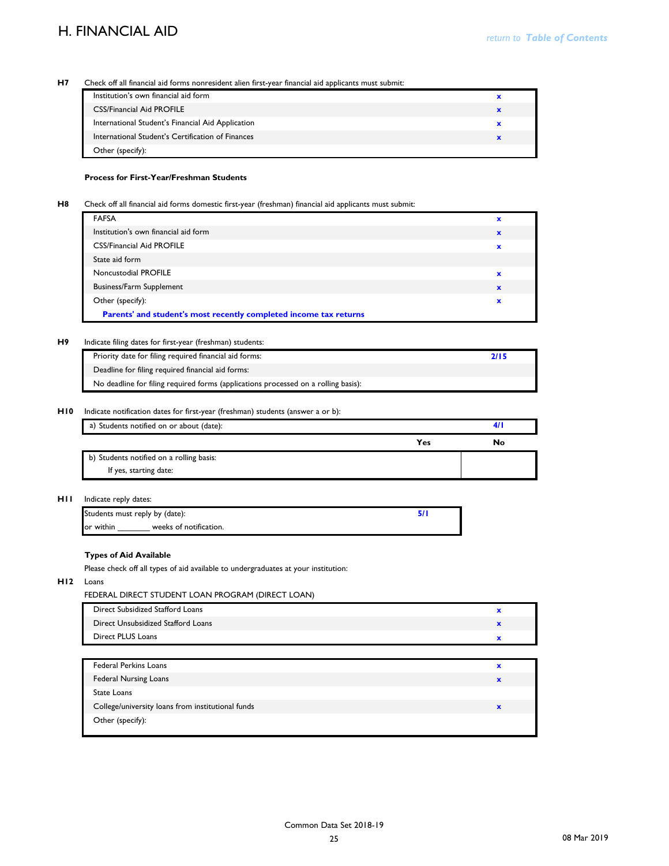#### **H7** Check off all financial aid forms nonresident alien first-year financial aid applicants must submit:

| Institution's own financial aid form              |  |
|---------------------------------------------------|--|
| <b>CSS/Financial Aid PROFILE</b>                  |  |
| International Student's Financial Aid Application |  |
| International Student's Certification of Finances |  |
| Other (specify):                                  |  |

#### **Process for First-Year/Freshman Students**

#### **H8** Check off all financial aid forms domestic first-year (freshman) financial aid applicants must submit:

| <b>FAFSA</b>                         |   |
|--------------------------------------|---|
| Institution's own financial aid form | × |
| <b>CSS/Financial Aid PROFILE</b>     | x |
| State aid form                       |   |
| Noncustodial PROFILE                 |   |
| <b>Business/Farm Supplement</b>      |   |
| Other (specify):                     |   |

#### **H9** Indicate filing dates for first-year (freshman) students:

| Priority date for filing required financial aid forms:                             |  |
|------------------------------------------------------------------------------------|--|
| Deadline for filing required financial aid forms:                                  |  |
| No deadline for filing required forms (applications processed on a rolling basis): |  |

#### **H10** Indicate notification dates for first-year (freshman) students (answer a or b):

| a) Students notified on or about (date): |     |   |
|------------------------------------------|-----|---|
|                                          | Yes | N |
| b) Students notified on a rolling basis: |     |   |
| If yes, starting date:                   |     |   |

#### **H11** Indicate reply dates:

| Students must reply by (date): |                        |  |
|--------------------------------|------------------------|--|
| lor within                     | weeks of notification. |  |

### **Types of Aid Available**

Please check off all types of aid available to undergraduates at your institution:

#### **H12** Loans

FEDERAL DIRECT STUDENT LOAN PROGRAM (DIRECT LOAN)

| Direct Subsidized Stafford Loans   |  |
|------------------------------------|--|
| Direct Unsubsidized Stafford Loans |  |
| Direct PLUS Loans                  |  |

| <b>Federal Perkins Loans</b>                      |  |
|---------------------------------------------------|--|
| <b>Federal Nursing Loans</b>                      |  |
| State Loans                                       |  |
| College/university loans from institutional funds |  |
| Other (specify):                                  |  |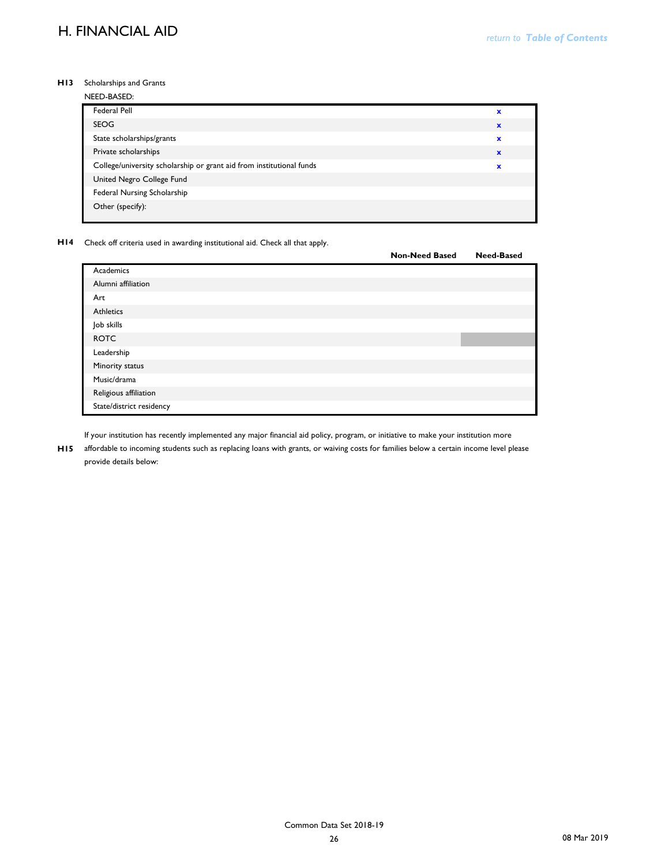#### **H13** Scholarships and Grants

| ×            |
|--------------|
| $\mathbf x$  |
| $\mathbf x$  |
| $\mathbf{x}$ |
| ×            |
|              |
|              |
|              |
|              |

**H14** Check off criteria used in awarding institutional aid. Check all that apply.

|                          | <b>Non-Need Based</b> | <b>Need-Based</b> |
|--------------------------|-----------------------|-------------------|
| Academics                |                       |                   |
| Alumni affiliation       |                       |                   |
| Art                      |                       |                   |
| Athletics                |                       |                   |
| Job skills               |                       |                   |
| <b>ROTC</b>              |                       |                   |
| Leadership               |                       |                   |
| Minority status          |                       |                   |
| Music/drama              |                       |                   |
| Religious affiliation    |                       |                   |
| State/district residency |                       |                   |

If your institution has recently implemented any major financial aid policy, program, or initiative to make your institution more

**H15** affordable to incoming students such as replacing loans with grants, or waiving costs for families below a certain income level please provide details below: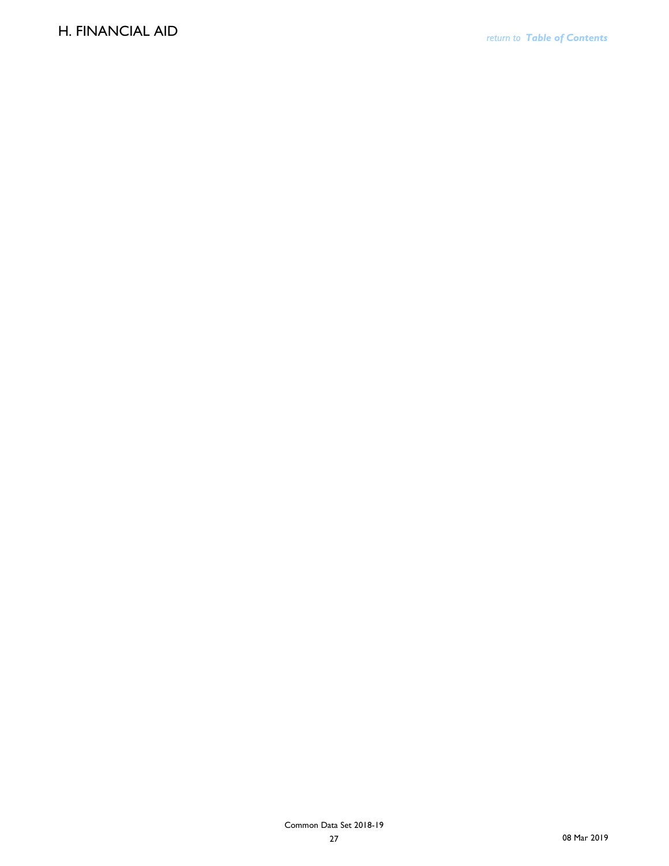### **H. FINANCIAL AID**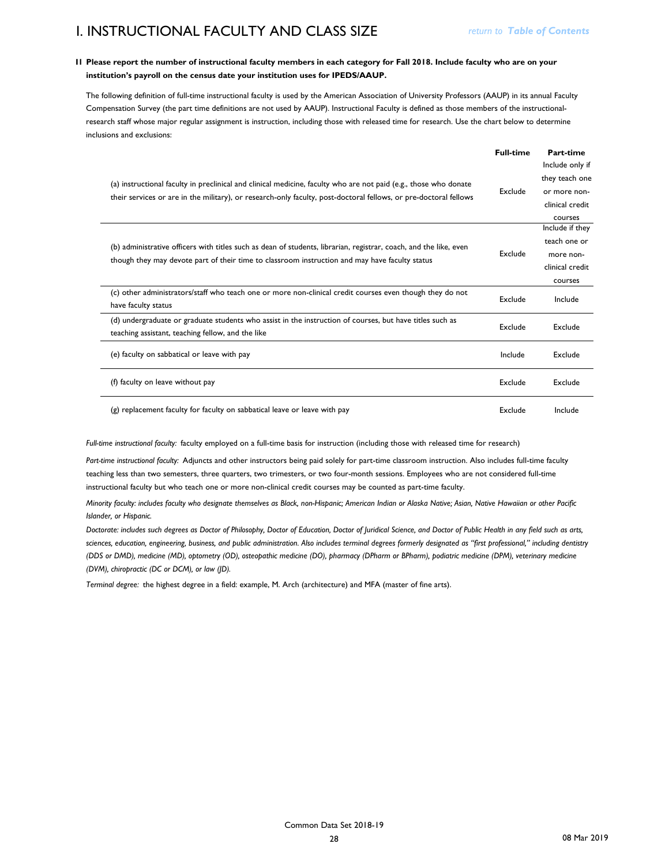## **I. INSTRUCTIONAL FACULTY AND CLASS SIZE**

#### **I1 Please report the number of instructional faculty members in each category for Fall 2018. Include faculty who are on your institution's payroll on the census date your institution uses for IPEDS/AAUP.**

The following definition of full-time instructional faculty is used by the American Association of University Professors (AAUP) in its annual Faculty Compensation Survey (the part time definitions are not used by AAUP). Instructional Faculty is defined as those members of the instructionalresearch staff whose major regular assignment is instruction, including those with released time for research. Use the chart below to determine inclusions and exclusions:

|                                                                                                                                                                                                                                      | <b>Full-time</b> | Part-time                                                                       |
|--------------------------------------------------------------------------------------------------------------------------------------------------------------------------------------------------------------------------------------|------------------|---------------------------------------------------------------------------------|
| (a) instructional faculty in preclinical and clinical medicine, faculty who are not paid (e.g., those who donate<br>their services or are in the military), or research-only faculty, post-doctoral fellows, or pre-doctoral fellows | Exclude          | Include only if<br>they teach one<br>or more non-<br>clinical credit<br>courses |
| (b) administrative officers with titles such as dean of students, librarian, registrar, coach, and the like, even<br>though they may devote part of their time to classroom instruction and may have faculty status                  | Exclude          | Include if they<br>teach one or<br>more non-<br>clinical credit<br>courses      |
| (c) other administrators/staff who teach one or more non-clinical credit courses even though they do not<br>have faculty status                                                                                                      | Exclude          | Include                                                                         |
| (d) undergraduate or graduate students who assist in the instruction of courses, but have titles such as<br>teaching assistant, teaching fellow, and the like                                                                        | Exclude          | Exclude                                                                         |
| (e) faculty on sabbatical or leave with pay                                                                                                                                                                                          | Include          | Exclude                                                                         |
| (f) faculty on leave without pay                                                                                                                                                                                                     | Exclude          | Exclude                                                                         |
| (g) replacement faculty for faculty on sabbatical leave or leave with pay                                                                                                                                                            | Exclude          | Include                                                                         |

*Full-time instructional faculty:* faculty employed on a full-time basis for instruction (including those with released time for research)

*Part-time instructional faculty:* Adjuncts and other instructors being paid solely for part-time classroom instruction. Also includes full-time faculty teaching less than two semesters, three quarters, two trimesters, or two four-month sessions. Employees who are not considered full-time instructional faculty but who teach one or more non-clinical credit courses may be counted as part-time faculty.

*Minority faculty: includes faculty who designate themselves as Black, non-Hispanic; American Indian or Alaska Native; Asian, Native Hawaiian or other Pacific Islander, or Hispanic.* 

*Doctorate: includes such degrees as Doctor of Philosophy, Doctor of Education, Doctor of Juridical Science, and Doctor of Public Health in any field such as arts, sciences, education, engineering, business, and public administration. Also includes terminal degrees formerly designated as "first professional," including dentistry (DDS or DMD), medicine (MD), optometry (OD), osteopathic medicine (DO), pharmacy (DPharm or BPharm), podiatric medicine (DPM), veterinary medicine (DVM), chiropractic (DC or DCM), or law (JD).*

*Terminal degree:* the highest degree in a field: example, M. Arch (architecture) and MFA (master of fine arts).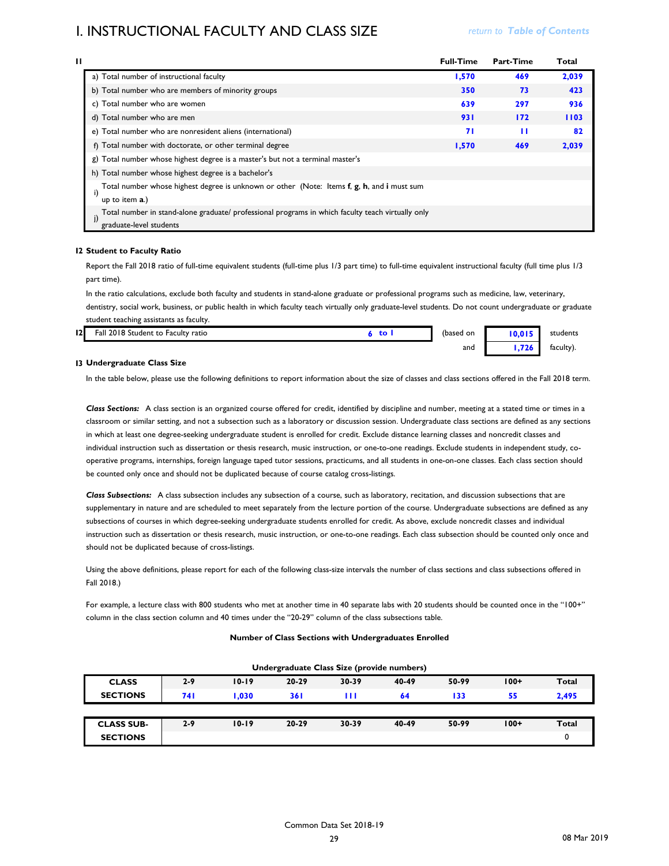### **I. INSTRUCTIONAL FACULTY AND CLASS SIZE** *return to Table of Contents*

| Ħ |                                                                                                                                    | <b>Full-Time</b> | <b>Part-Time</b> | Total |
|---|------------------------------------------------------------------------------------------------------------------------------------|------------------|------------------|-------|
|   | a) Total number of instructional faculty                                                                                           | 1.570            | 469              | 2,039 |
|   | b) Total number who are members of minority groups                                                                                 | 350              | 73               | 423   |
|   | c) Total number who are women                                                                                                      | 639              | 297              | 936   |
|   | d) Total number who are men                                                                                                        | 931              | 172              | 1103  |
|   | e) Total number who are nonresident aliens (international)                                                                         | 71               | ш                | 82    |
|   | f) Total number with doctorate, or other terminal degree                                                                           | 1,570            | 469              | 2,039 |
|   | g) Total number whose highest degree is a master's but not a terminal master's                                                     |                  |                  |       |
|   | h) Total number whose highest degree is a bachelor's                                                                               |                  |                  |       |
|   | Total number whose highest degree is unknown or other (Note: Items f, g, h, and i must sum<br>up to item a.)                       |                  |                  |       |
|   | Total number in stand-alone graduate/ professional programs in which faculty teach virtually only<br>j)<br>graduate-level students |                  |                  |       |

#### **I2 Student to Faculty Ratio**

Report the Fall 2018 ratio of full-time equivalent students (full-time plus 1/3 part time) to full-time equivalent instructional faculty (full time plus 1/3 part time).

In the ratio calculations, exclude both faculty and students in stand-alone graduate or professional programs such as medicine, law, veterinary, dentistry, social work, business, or public health in which faculty teach virtually only graduate-level students. Do not count undergraduate or graduate student teaching assistants as faculty.

| 12 | 12018 Student to Faculty ratio<br>Fall | to <b>s</b> | (based on | 10,015 | students  |
|----|----------------------------------------|-------------|-----------|--------|-----------|
|    |                                        |             | and       | 1,726  | faculty). |

#### **I3 Undergraduate Class Size**

In the table below, please use the following definitions to report information about the size of classes and class sections offered in the Fall 2018 term.

*Class Sections:* A class section is an organized course offered for credit, identified by discipline and number, meeting at a stated time or times in a classroom or similar setting, and not a subsection such as a laboratory or discussion session. Undergraduate class sections are defined as any sections in which at least one degree-seeking undergraduate student is enrolled for credit. Exclude distance learning classes and noncredit classes and individual instruction such as dissertation or thesis research, music instruction, or one-to-one readings. Exclude students in independent study, cooperative programs, internships, foreign language taped tutor sessions, practicums, and all students in one-on-one classes. Each class section should be counted only once and should not be duplicated because of course catalog cross-listings.

*Class Subsections:* A class subsection includes any subsection of a course, such as laboratory, recitation, and discussion subsections that are supplementary in nature and are scheduled to meet separately from the lecture portion of the course. Undergraduate subsections are defined as any subsections of courses in which degree-seeking undergraduate students enrolled for credit. As above, exclude noncredit classes and individual instruction such as dissertation or thesis research, music instruction, or one-to-one readings. Each class subsection should be counted only once and should not be duplicated because of cross-listings.

Using the above definitions, please report for each of the following class-size intervals the number of class sections and class subsections offered in Fall 2018.)

For example, a lecture class with 800 students who met at another time in 40 separate labs with 20 students should be counted once in the "100+" column in the class section column and 40 times under the "20-29" column of the class subsections table.

#### **Number of Class Sections with Undergraduates Enrolled**

| Undergraduate Class Size (provide numbers) |         |           |            |       |       |       |        |              |
|--------------------------------------------|---------|-----------|------------|-------|-------|-------|--------|--------------|
| <b>CLASS</b>                               | $2 - 9$ | $10 - 19$ | $20 - 29$  | 30-39 | 40-49 | 50-99 | $100+$ | <b>Total</b> |
| <b>SECTIONS</b>                            | 74 I    | 1.030     | <b>361</b> | ш     | 64    | 133   | 55     | 2,495        |
|                                            |         |           |            |       |       |       |        |              |
| <b>CLASS SUB-</b>                          | $2 - 9$ | $10 - 19$ | $20 - 29$  | 30-39 | 40-49 | 50-99 | $100+$ | <b>Total</b> |
| <b>SECTIONS</b>                            |         |           |            |       |       |       |        |              |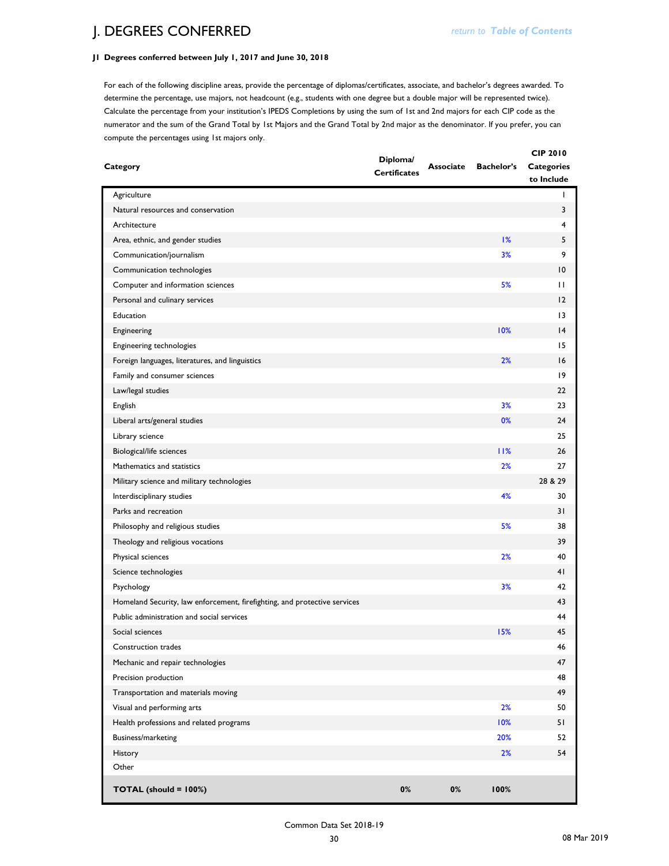## **J. DEGREES CONFERRED** *return to Table of Contents*

### **J1 Degrees conferred between July 1, 2017 and June 30, 2018**

For each of the following discipline areas, provide the percentage of diplomas/certificates, associate, and bachelor's degrees awarded. To determine the percentage, use majors, not headcount (e.g., students with one degree but a double major will be represented twice). Calculate the percentage from your institution's IPEDS Completions by using the sum of 1st and 2nd majors for each CIP code as the numerator and the sum of the Grand Total by 1st Majors and the Grand Total by 2nd major as the denominator. If you prefer, you can compute the percentages using 1st majors only.

| Category                                                                  | Diploma/<br><b>Certificates</b> | <b>Associate</b> | <b>Bachelor's</b> | <b>CIP 2010</b><br><b>Categories</b><br>to Include |
|---------------------------------------------------------------------------|---------------------------------|------------------|-------------------|----------------------------------------------------|
| Agriculture                                                               |                                 |                  |                   | L                                                  |
| Natural resources and conservation                                        |                                 |                  |                   | 3                                                  |
| Architecture                                                              |                                 |                  |                   | 4                                                  |
| Area, ethnic, and gender studies                                          |                                 |                  | 1%                | 5                                                  |
| Communication/journalism                                                  |                                 |                  | 3%                | 9                                                  |
| Communication technologies                                                |                                 |                  |                   | $\overline{10}$                                    |
| Computer and information sciences                                         |                                 |                  | 5%                | $\mathbf{H}$                                       |
| Personal and culinary services                                            |                                 |                  |                   | 12                                                 |
| Education                                                                 |                                 |                  |                   | $\overline{13}$                                    |
| Engineering                                                               |                                 |                  | 10%               | 4                                                  |
| Engineering technologies                                                  |                                 |                  |                   | 15                                                 |
| Foreign languages, literatures, and linguistics                           |                                 |                  | 2%                | 16                                                 |
| Family and consumer sciences                                              |                                 |                  |                   | 9                                                  |
| Law/legal studies                                                         |                                 |                  |                   | 22                                                 |
| English                                                                   |                                 |                  | 3%                | 23                                                 |
| Liberal arts/general studies                                              |                                 |                  | 0%                | 24                                                 |
| Library science                                                           |                                 |                  |                   | 25                                                 |
| <b>Biological/life sciences</b>                                           |                                 |                  | 11%               | 26                                                 |
| Mathematics and statistics                                                |                                 |                  | 2%                | 27                                                 |
| Military science and military technologies                                |                                 |                  |                   | 28 & 29                                            |
| Interdisciplinary studies                                                 |                                 |                  | 4%                | 30                                                 |
| Parks and recreation                                                      |                                 |                  |                   | 31                                                 |
| Philosophy and religious studies                                          |                                 |                  | 5%                | 38                                                 |
| Theology and religious vocations                                          |                                 |                  |                   | 39                                                 |
| Physical sciences                                                         |                                 |                  | 2%                | 40                                                 |
| Science technologies                                                      |                                 |                  |                   | 41                                                 |
| Psychology                                                                |                                 |                  | 3%                | 42                                                 |
| Homeland Security, law enforcement, firefighting, and protective services |                                 |                  |                   | 43                                                 |
| Public administration and social services                                 |                                 |                  |                   | 44                                                 |
| Social sciences                                                           |                                 |                  | 15%               | 45                                                 |
| Construction trades                                                       |                                 |                  |                   | 46                                                 |
| Mechanic and repair technologies                                          |                                 |                  |                   | 47                                                 |
| Precision production                                                      |                                 |                  |                   | 48                                                 |
| Transportation and materials moving                                       |                                 |                  |                   | 49                                                 |
| Visual and performing arts                                                |                                 |                  | 2%                | 50                                                 |
| Health professions and related programs                                   |                                 |                  | 10%               | 51                                                 |
| Business/marketing                                                        |                                 |                  | 20%               | 52                                                 |
|                                                                           |                                 |                  | 2%                | 54                                                 |
| <b>History</b><br>Other                                                   |                                 |                  |                   |                                                    |
|                                                                           |                                 |                  |                   |                                                    |
| TOTAL (should = 100%)                                                     | $0\%$                           | 0%               | 100%              |                                                    |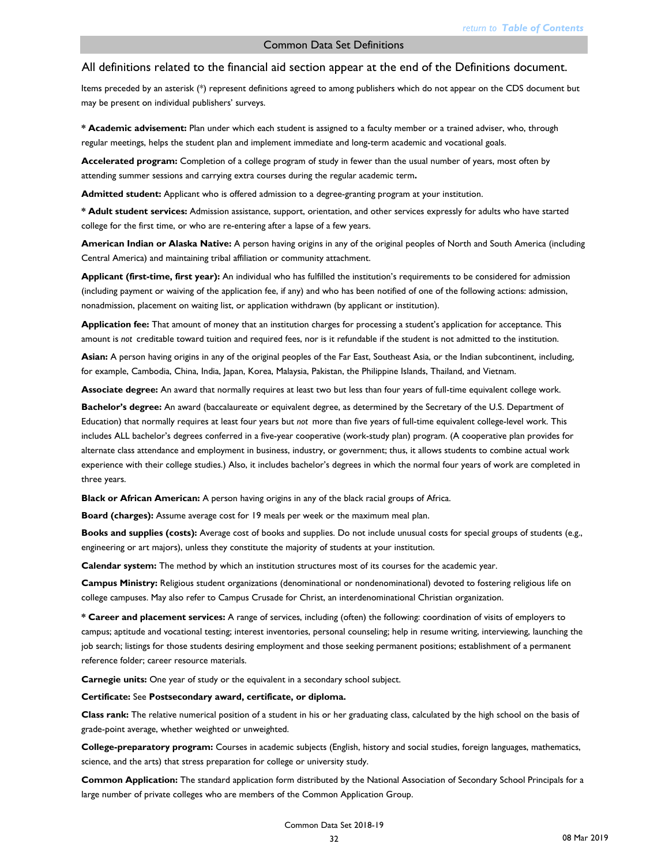Items preceded by an asterisk (\*) represent definitions agreed to among publishers which do not appear on the CDS document but may be present on individual publishers' surveys.

**\* Academic advisement:** Plan under which each student is assigned to a faculty member or a trained adviser, who, through regular meetings, helps the student plan and implement immediate and long-term academic and vocational goals.

**Accelerated program:** Completion of a college program of study in fewer than the usual number of years, most often by attending summer sessions and carrying extra courses during the regular academic term**.**

**Admitted student:** Applicant who is offered admission to a degree-granting program at your institution.

**\* Adult student services:** Admission assistance, support, orientation, and other services expressly for adults who have started college for the first time, or who are re-entering after a lapse of a few years.

**American Indian or Alaska Native:** A person having origins in any of the original peoples of North and South America (including Central America) and maintaining tribal affiliation or community attachment.

**Applicant (first-time, first year):** An individual who has fulfilled the institution's requirements to be considered for admission (including payment or waiving of the application fee, if any) and who has been notified of one of the following actions: admission, nonadmission, placement on waiting list, or application withdrawn (by applicant or institution).

**Application fee:** That amount of money that an institution charges for processing a student's application for acceptance. This amount is *not* creditable toward tuition and required fees, nor is it refundable if the student is not admitted to the institution.

**Asian:** A person having origins in any of the original peoples of the Far East, Southeast Asia, or the Indian subcontinent, including, for example, Cambodia, China, India, Japan, Korea, Malaysia, Pakistan, the Philippine Islands, Thailand, and Vietnam.

**Associate degree:** An award that normally requires at least two but less than four years of full-time equivalent college work.

**Bachelor's degree:** An award (baccalaureate or equivalent degree, as determined by the Secretary of the U.S. Department of Education) that normally requires at least four years but *not* more than five years of full-time equivalent college-level work. This includes ALL bachelor's degrees conferred in a five-year cooperative (work-study plan) program. (A cooperative plan provides for alternate class attendance and employment in business, industry, or government; thus, it allows students to combine actual work experience with their college studies.) Also, it includes bachelor's degrees in which the normal four years of work are completed in three years.

**Black or African American:** A person having origins in any of the black racial groups of Africa.

**Board (charges):** Assume average cost for 19 meals per week or the maximum meal plan.

**Books and supplies (costs):** Average cost of books and supplies. Do not include unusual costs for special groups of students (e.g., engineering or art majors), unless they constitute the majority of students at your institution.

**Calendar system:** The method by which an institution structures most of its courses for the academic year.

**Campus Ministry:** Religious student organizations (denominational or nondenominational) devoted to fostering religious life on college campuses. May also refer to Campus Crusade for Christ, an interdenominational Christian organization.

**\* Career and placement services:** A range of services, including (often) the following: coordination of visits of employers to campus; aptitude and vocational testing; interest inventories, personal counseling; help in resume writing, interviewing, launching the job search; listings for those students desiring employment and those seeking permanent positions; establishment of a permanent reference folder; career resource materials.

**Carnegie units:** One year of study or the equivalent in a secondary school subject.

**Certificate:** See **Postsecondary award, certificate, or diploma.**

**Class rank:** The relative numerical position of a student in his or her graduating class, calculated by the high school on the basis of grade-point average, whether weighted or unweighted.

**College-preparatory program:** Courses in academic subjects (English, history and social studies, foreign languages, mathematics, science, and the arts) that stress preparation for college or university study.

**Common Application:** The standard application form distributed by the National Association of Secondary School Principals for a large number of private colleges who are members of the Common Application Group.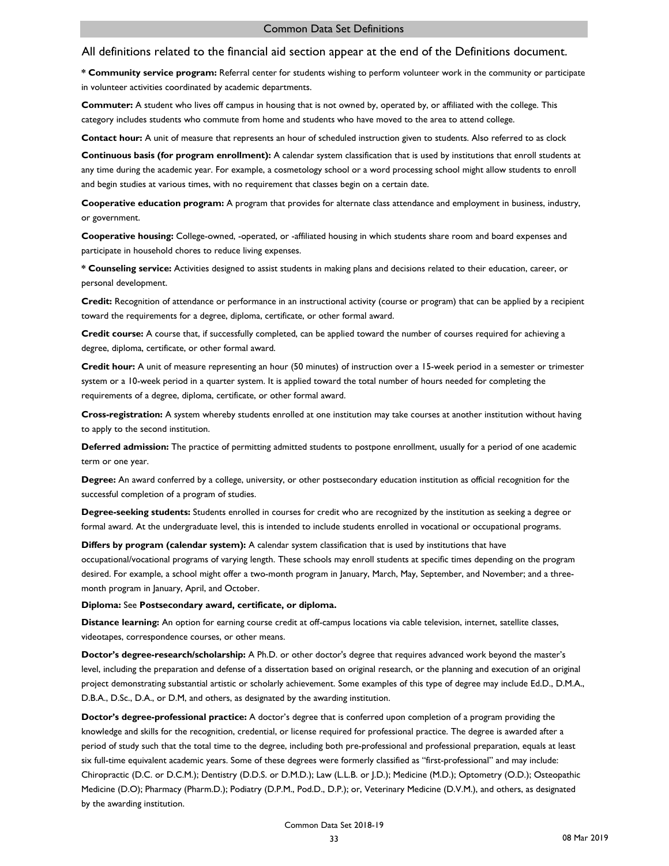**\* Community service program:** Referral center for students wishing to perform volunteer work in the community or participate in volunteer activities coordinated by academic departments.

**Commuter:** A student who lives off campus in housing that is not owned by, operated by, or affiliated with the college. This category includes students who commute from home and students who have moved to the area to attend college.

**Contact hour:** A unit of measure that represents an hour of scheduled instruction given to students. Also referred to as clock

**Continuous basis (for program enrollment):** A calendar system classification that is used by institutions that enroll students at any time during the academic year. For example, a cosmetology school or a word processing school might allow students to enroll and begin studies at various times, with no requirement that classes begin on a certain date.

**Cooperative education program:** A program that provides for alternate class attendance and employment in business, industry, or government.

**Cooperative housing:** College-owned, -operated, or -affiliated housing in which students share room and board expenses and participate in household chores to reduce living expenses.

**\* Counseling service:** Activities designed to assist students in making plans and decisions related to their education, career, or personal development.

**Credit:** Recognition of attendance or performance in an instructional activity (course or program) that can be applied by a recipient toward the requirements for a degree, diploma, certificate, or other formal award.

**Credit course:** A course that, if successfully completed, can be applied toward the number of courses required for achieving a degree, diploma, certificate, or other formal award.

**Credit hour:** A unit of measure representing an hour (50 minutes) of instruction over a 15-week period in a semester or trimester system or a 10-week period in a quarter system. It is applied toward the total number of hours needed for completing the requirements of a degree, diploma, certificate, or other formal award.

**Cross-registration:** A system whereby students enrolled at one institution may take courses at another institution without having to apply to the second institution.

**Deferred admission:** The practice of permitting admitted students to postpone enrollment, usually for a period of one academic term or one year.

**Degree:** An award conferred by a college, university, or other postsecondary education institution as official recognition for the successful completion of a program of studies.

**Degree-seeking students:** Students enrolled in courses for credit who are recognized by the institution as seeking a degree or formal award. At the undergraduate level, this is intended to include students enrolled in vocational or occupational programs.

**Differs by program (calendar system):** A calendar system classification that is used by institutions that have occupational/vocational programs of varying length. These schools may enroll students at specific times depending on the program desired. For example, a school might offer a two-month program in January, March, May, September, and November; and a threemonth program in January, April, and October.

**Diploma:** See **Postsecondary award, certificate, or diploma.**

**Distance learning:** An option for earning course credit at off-campus locations via cable television, internet, satellite classes, videotapes, correspondence courses, or other means.

**Doctor's degree-research/scholarship:** A Ph.D. or other doctor's degree that requires advanced work beyond the master's level, including the preparation and defense of a dissertation based on original research, or the planning and execution of an original project demonstrating substantial artistic or scholarly achievement. Some examples of this type of degree may include Ed.D., D.M.A., D.B.A., D.Sc., D.A., or D.M, and others, as designated by the awarding institution.

**Doctor's degree-professional practice:** A doctor's degree that is conferred upon completion of a program providing the knowledge and skills for the recognition, credential, or license required for professional practice. The degree is awarded after a period of study such that the total time to the degree, including both pre-professional and professional preparation, equals at least six full-time equivalent academic years. Some of these degrees were formerly classified as "first-professional" and may include: Chiropractic (D.C. or D.C.M.); Dentistry (D.D.S. or D.M.D.); Law (L.L.B. or J.D.); Medicine (M.D.); Optometry (O.D.); Osteopathic Medicine (D.O); Pharmacy (Pharm.D.); Podiatry (D.P.M., Pod.D., D.P.); or, Veterinary Medicine (D.V.M.), and others, as designated by the awarding institution.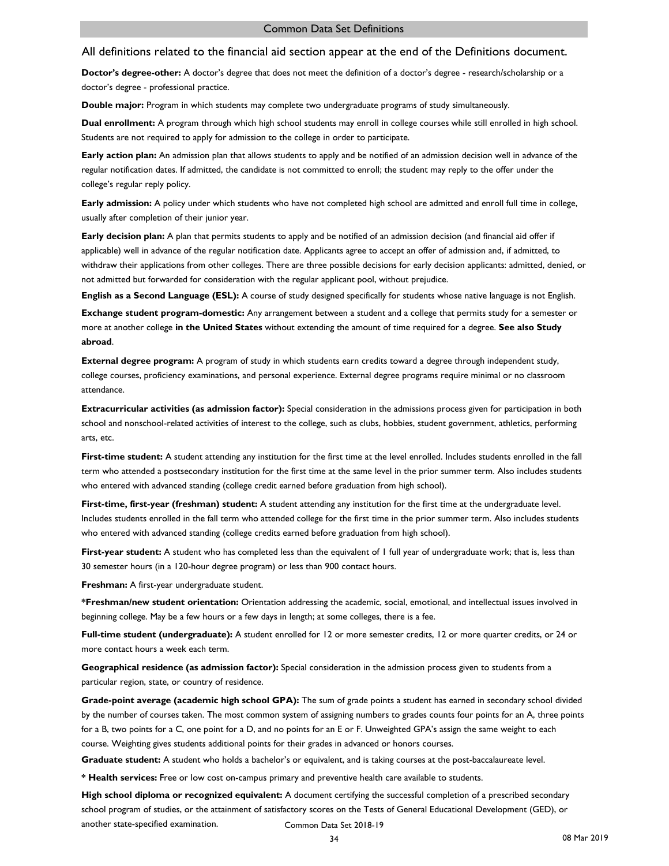**Doctor's degree-other:** A doctor's degree that does not meet the definition of a doctor's degree - research/scholarship or a doctor's degree - professional practice.

**Double major:** Program in which students may complete two undergraduate programs of study simultaneously.

**Dual enrollment:** A program through which high school students may enroll in college courses while still enrolled in high school. Students are not required to apply for admission to the college in order to participate.

**Early action plan:** An admission plan that allows students to apply and be notified of an admission decision well in advance of the regular notification dates. If admitted, the candidate is not committed to enroll; the student may reply to the offer under the college's regular reply policy.

**Early admission:** A policy under which students who have not completed high school are admitted and enroll full time in college, usually after completion of their junior year.

**Early decision plan:** A plan that permits students to apply and be notified of an admission decision (and financial aid offer if applicable) well in advance of the regular notification date. Applicants agree to accept an offer of admission and, if admitted, to withdraw their applications from other colleges. There are three possible decisions for early decision applicants: admitted, denied, or not admitted but forwarded for consideration with the regular applicant pool, without prejudice.

**English as a Second Language (ESL):** A course of study designed specifically for students whose native language is not English.

**Exchange student program-domestic:** Any arrangement between a student and a college that permits study for a semester or more at another college **in the United States** without extending the amount of time required for a degree. **See also Study abroad**.

**External degree program:** A program of study in which students earn credits toward a degree through independent study, college courses, proficiency examinations, and personal experience. External degree programs require minimal or no classroom attendance.

**Extracurricular activities (as admission factor):** Special consideration in the admissions process given for participation in both school and nonschool-related activities of interest to the college, such as clubs, hobbies, student government, athletics, performing arts, etc.

First-time student: A student attending any institution for the first time at the level enrolled. Includes students enrolled in the fall term who attended a postsecondary institution for the first time at the same level in the prior summer term. Also includes students who entered with advanced standing (college credit earned before graduation from high school).

**First-time, first-year (freshman) student:** A student attending any institution for the first time at the undergraduate level. Includes students enrolled in the fall term who attended college for the first time in the prior summer term. Also includes students who entered with advanced standing (college credits earned before graduation from high school).

**First-year student:** A student who has completed less than the equivalent of 1 full year of undergraduate work; that is, less than 30 semester hours (in a 120-hour degree program) or less than 900 contact hours.

**Freshman:** A first-year undergraduate student.

**\*Freshman/new student orientation:** Orientation addressing the academic, social, emotional, and intellectual issues involved in beginning college. May be a few hours or a few days in length; at some colleges, there is a fee.

**Full-time student (undergraduate):** A student enrolled for 12 or more semester credits, 12 or more quarter credits, or 24 or more contact hours a week each term.

**Geographical residence (as admission factor):** Special consideration in the admission process given to students from a particular region, state, or country of residence.

**Grade-point average (academic high school GPA):** The sum of grade points a student has earned in secondary school divided by the number of courses taken. The most common system of assigning numbers to grades counts four points for an A, three points for a B, two points for a C, one point for a D, and no points for an E or F. Unweighted GPA's assign the same weight to each course. Weighting gives students additional points for their grades in advanced or honors courses.

**Graduate student:** A student who holds a bachelor's or equivalent, and is taking courses at the post-baccalaureate level.

**\* Health services:** Free or low cost on-campus primary and preventive health care available to students.

**High school diploma or recognized equivalent:** A document certifying the successful completion of a prescribed secondary school program of studies, or the attainment of satisfactory scores on the Tests of General Educational Development (GED), or another state-specified examination. Common Data Set 2018-19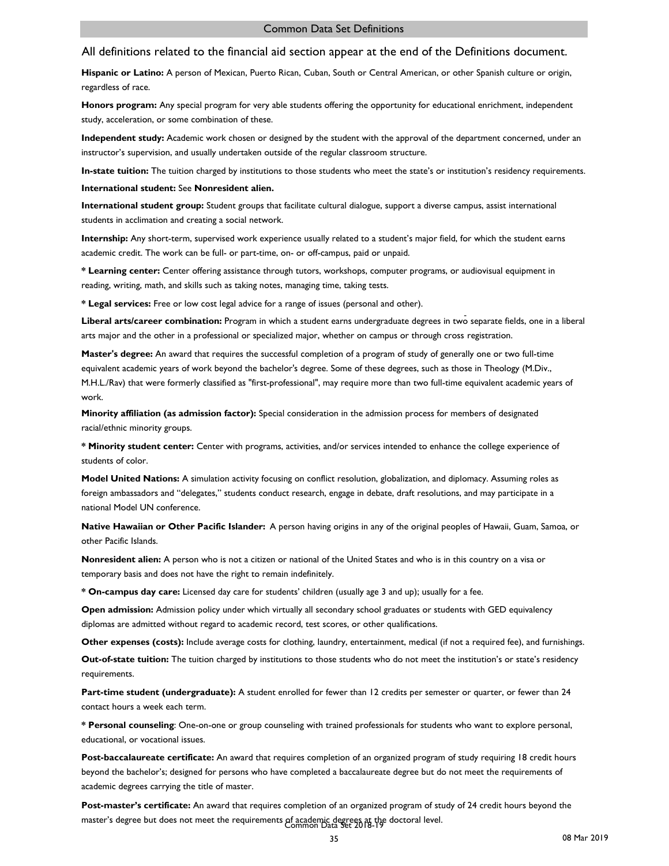**Hispanic or Latino:** A person of Mexican, Puerto Rican, Cuban, South or Central American, or other Spanish culture or origin, regardless of race.

**Honors program:** Any special program for very able students offering the opportunity for educational enrichment, independent study, acceleration, or some combination of these.

**Independent study:** Academic work chosen or designed by the student with the approval of the department concerned, under an instructor's supervision, and usually undertaken outside of the regular classroom structure.

**In-state tuition:** The tuition charged by institutions to those students who meet the state's or institution's residency requirements.

**International student:** See **Nonresident alien.**

**International student group:** Student groups that facilitate cultural dialogue, support a diverse campus, assist international students in acclimation and creating a social network.

**Internship:** Any short-term, supervised work experience usually related to a student's major field, for which the student earns academic credit. The work can be full- or part-time, on- or off-campus, paid or unpaid.

**\* Learning center:** Center offering assistance through tutors, workshops, computer programs, or audiovisual equipment in reading, writing, math, and skills such as taking notes, managing time, taking tests.

**\* Legal services:** Free or low cost legal advice for a range of issues (personal and other).

Liberal arts/career combination: Program in which a student earns undergraduate degrees in two separate fields, one in a liberal arts major and the other in a professional or specialized major, whether on campus or through cross registration.

**Master's degree:** An award that requires the successful completion of a program of study of generally one or two full-time equivalent academic years of work beyond the bachelor's degree. Some of these degrees, such as those in Theology (M.Div., M.H.L./Rav) that were formerly classified as "first-professional", may require more than two full-time equivalent academic years of work.

**Minority affiliation (as admission factor):** Special consideration in the admission process for members of designated racial/ethnic minority groups.

**\* Minority student center:** Center with programs, activities, and/or services intended to enhance the college experience of students of color.

**Model United Nations:** A simulation activity focusing on conflict resolution, globalization, and diplomacy. Assuming roles as foreign ambassadors and "delegates," students conduct research, engage in debate, draft resolutions, and may participate in a national Model UN conference.

**Native Hawaiian or Other Pacific Islander:** A person having origins in any of the original peoples of Hawaii, Guam, Samoa, or other Pacific Islands.

**Nonresident alien:** A person who is not a citizen or national of the United States and who is in this country on a visa or temporary basis and does not have the right to remain indefinitely.

**\* On-campus day care:** Licensed day care for students' children (usually age 3 and up); usually for a fee.

**Open admission:** Admission policy under which virtually all secondary school graduates or students with GED equivalency diplomas are admitted without regard to academic record, test scores, or other qualifications.

**Other expenses (costs):** Include average costs for clothing, laundry, entertainment, medical (if not a required fee), and furnishings.

**Out-of-state tuition:** The tuition charged by institutions to those students who do not meet the institution's or state's residency requirements.

**Part-time student (undergraduate):** A student enrolled for fewer than 12 credits per semester or quarter, or fewer than 24 contact hours a week each term.

**\* Personal counseling**: One-on-one or group counseling with trained professionals for students who want to explore personal, educational, or vocational issues.

**Post-baccalaureate certificate:** An award that requires completion of an organized program of study requiring 18 credit hours beyond the bachelor's; designed for persons who have completed a baccalaureate degree but do not meet the requirements of academic degrees carrying the title of master.

**Post-master's certificate:** An award that requires completion of an organized program of study of 24 credit hours beyond the master's degree but does not meet the requirements of academic degrees at the doctoral level. Common Data Set 2018-19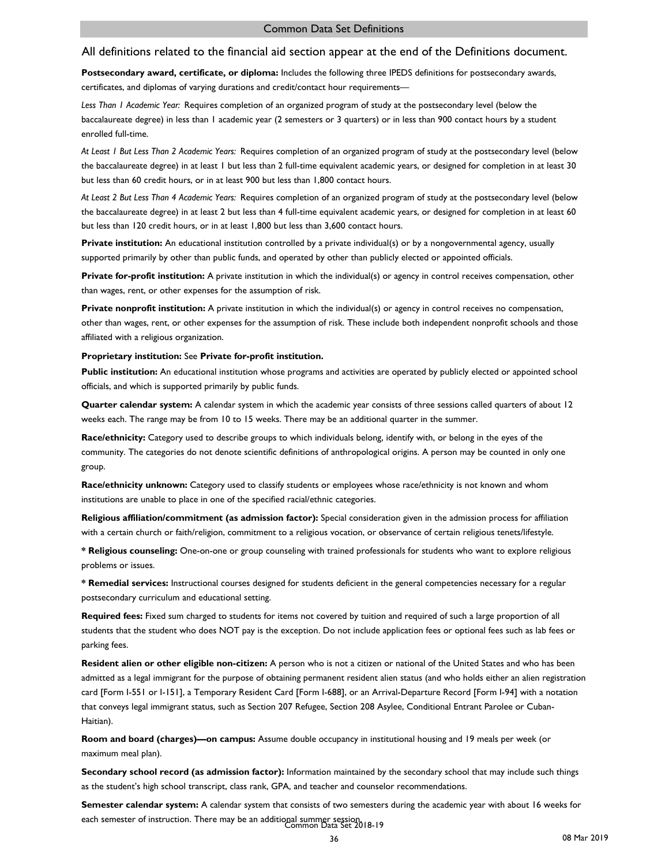**Postsecondary award, certificate, or diploma:** Includes the following three IPEDS definitions for postsecondary awards, certificates, and diplomas of varying durations and credit/contact hour requirements—

*Less Than 1 Academic Year:* Requires completion of an organized program of study at the postsecondary level (below the baccalaureate degree) in less than 1 academic year (2 semesters or 3 quarters) or in less than 900 contact hours by a student enrolled full-time.

*At Least 1 But Less Than 2 Academic Years:* Requires completion of an organized program of study at the postsecondary level (below the baccalaureate degree) in at least 1 but less than 2 full-time equivalent academic years, or designed for completion in at least 30 but less than 60 credit hours, or in at least 900 but less than 1,800 contact hours.

*At Least 2 But Less Than 4 Academic Years:* Requires completion of an organized program of study at the postsecondary level (below the baccalaureate degree) in at least 2 but less than 4 full-time equivalent academic years, or designed for completion in at least 60 but less than 120 credit hours, or in at least 1,800 but less than 3,600 contact hours.

**Private institution:** An educational institution controlled by a private individual(s) or by a nongovernmental agency, usually supported primarily by other than public funds, and operated by other than publicly elected or appointed officials.

**Private for-profit institution:** A private institution in which the individual(s) or agency in control receives compensation, other than wages, rent, or other expenses for the assumption of risk.

**Private nonprofit institution:** A private institution in which the individual(s) or agency in control receives no compensation, other than wages, rent, or other expenses for the assumption of risk. These include both independent nonprofit schools and those affiliated with a religious organization.

#### **Proprietary institution:** See **Private for-profit institution.**

**Public institution:** An educational institution whose programs and activities are operated by publicly elected or appointed school officials, and which is supported primarily by public funds.

**Quarter calendar system:** A calendar system in which the academic year consists of three sessions called quarters of about 12 weeks each. The range may be from 10 to 15 weeks. There may be an additional quarter in the summer.

**Race/ethnicity:** Category used to describe groups to which individuals belong, identify with, or belong in the eyes of the community. The categories do not denote scientific definitions of anthropological origins. A person may be counted in only one group.

**Race/ethnicity unknown:** Category used to classify students or employees whose race/ethnicity is not known and whom institutions are unable to place in one of the specified racial/ethnic categories.

**Religious affiliation/commitment (as admission factor):** Special consideration given in the admission process for affiliation with a certain church or faith/religion, commitment to a religious vocation, or observance of certain religious tenets/lifestyle.

**\* Religious counseling:** One-on-one or group counseling with trained professionals for students who want to explore religious problems or issues.

**\* Remedial services:** Instructional courses designed for students deficient in the general competencies necessary for a regular postsecondary curriculum and educational setting.

**Required fees:** Fixed sum charged to students for items not covered by tuition and required of such a large proportion of all students that the student who does NOT pay is the exception. Do not include application fees or optional fees such as lab fees or parking fees.

**Resident alien or other eligible non-citizen:** A person who is not a citizen or national of the United States and who has been admitted as a legal immigrant for the purpose of obtaining permanent resident alien status (and who holds either an alien registration card [Form I-551 or I-151], a Temporary Resident Card [Form I-688], or an Arrival-Departure Record [Form I-94] with a notation that conveys legal immigrant status, such as Section 207 Refugee, Section 208 Asylee, Conditional Entrant Parolee or Cuban-Haitian).

**Room and board (charges)—on campus:** Assume double occupancy in institutional housing and 19 meals per week (or maximum meal plan).

**Secondary school record (as admission factor):** Information maintained by the secondary school that may include such things as the student's high school transcript, class rank, GPA, and teacher and counselor recommendations.

**Semester calendar system:** A calendar system that consists of two semesters during the academic year with about 16 weeks for each semester of instruction. There may be an additional summer session.<br>Common Data Set 2018-19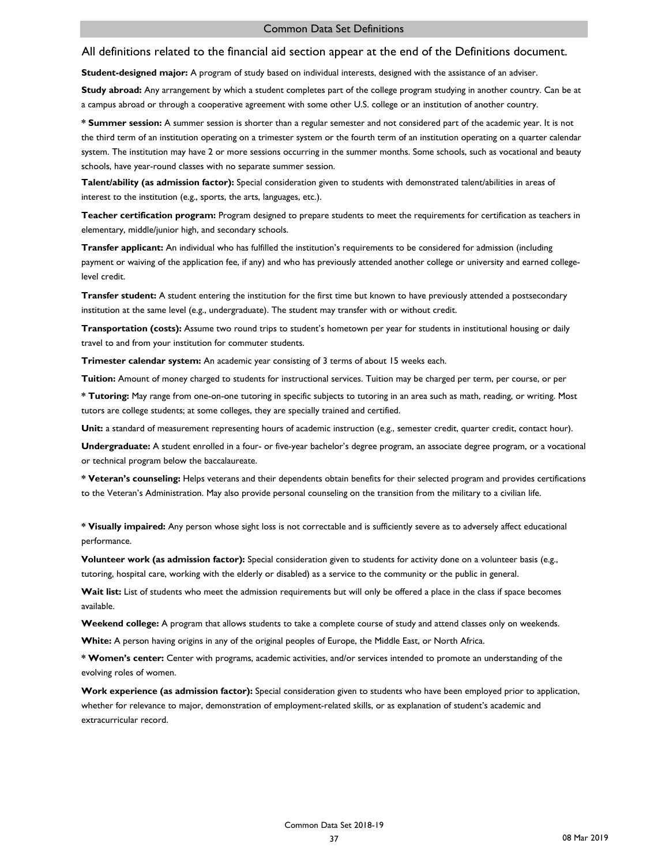**Student-designed major:** A program of study based on individual interests, designed with the assistance of an adviser.

**Study abroad:** Any arrangement by which a student completes part of the college program studying in another country. Can be at a campus abroad or through a cooperative agreement with some other U.S. college or an institution of another country.

**\* Summer session:** A summer session is shorter than a regular semester and not considered part of the academic year. It is not the third term of an institution operating on a trimester system or the fourth term of an institution operating on a quarter calendar system. The institution may have 2 or more sessions occurring in the summer months. Some schools, such as vocational and beauty schools, have year-round classes with no separate summer session.

**Talent/ability (as admission factor):** Special consideration given to students with demonstrated talent/abilities in areas of interest to the institution (e.g., sports, the arts, languages, etc.).

**Teacher certification program:** Program designed to prepare students to meet the requirements for certification as teachers in elementary, middle/junior high, and secondary schools.

**Transfer applicant:** An individual who has fulfilled the institution's requirements to be considered for admission (including payment or waiving of the application fee, if any) and who has previously attended another college or university and earned collegelevel credit.

**Transfer student:** A student entering the institution for the first time but known to have previously attended a postsecondary institution at the same level (e.g., undergraduate). The student may transfer with or without credit.

**Transportation (costs):** Assume two round trips to student's hometown per year for students in institutional housing or daily travel to and from your institution for commuter students.

**Trimester calendar system:** An academic year consisting of 3 terms of about 15 weeks each.

**Tuition:** Amount of money charged to students for instructional services. Tuition may be charged per term, per course, or per

**\* Tutoring:** May range from one-on-one tutoring in specific subjects to tutoring in an area such as math, reading, or writing. Most tutors are college students; at some colleges, they are specially trained and certified.

Unit: a standard of measurement representing hours of academic instruction (e.g., semester credit, quarter credit, contact hour).

**Undergraduate:** A student enrolled in a four- or five-year bachelor's degree program, an associate degree program, or a vocational or technical program below the baccalaureate.

**\* Veteran's counseling:** Helps veterans and their dependents obtain benefits for their selected program and provides certifications to the Veteran's Administration. May also provide personal counseling on the transition from the military to a civilian life.

**\* Visually impaired:** Any person whose sight loss is not correctable and is sufficiently severe as to adversely affect educational performance.

**Volunteer work (as admission factor):** Special consideration given to students for activity done on a volunteer basis (e.g., tutoring, hospital care, working with the elderly or disabled) as a service to the community or the public in general.

**Wait list:** List of students who meet the admission requirements but will only be offered a place in the class if space becomes available.

**Weekend college:** A program that allows students to take a complete course of study and attend classes only on weekends.

**White:** A person having origins in any of the original peoples of Europe, the Middle East, or North Africa.

**\* Women's center:** Center with programs, academic activities, and/or services intended to promote an understanding of the evolving roles of women.

**Work experience (as admission factor):** Special consideration given to students who have been employed prior to application, whether for relevance to major, demonstration of employment-related skills, or as explanation of student's academic and extracurricular record.